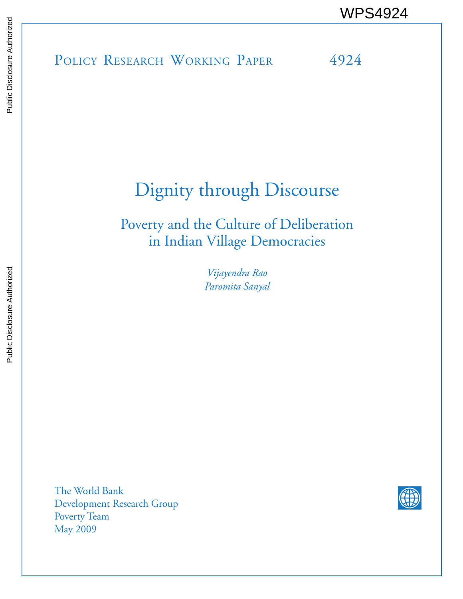# Dignity through Discourse

# Poverty and the Culture of Deliberation in Indian Village Democracies

*Vijayendra Rao Paromita Sanyal*

The World Bank Development Research Group Poverty Team May 2009

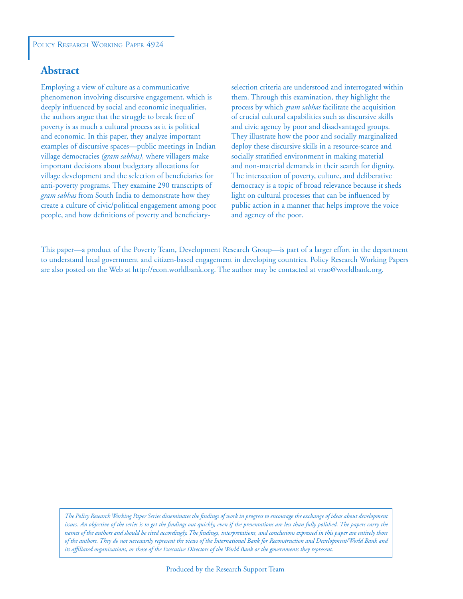## **Abstract**

Employing a view of culture as a communicative phenomenon involving discursive engagement, which is deeply influenced by social and economic inequalities, the authors argue that the struggle to break free of poverty is as much a cultural process as it is political and economic. In this paper, they analyze important examples of discursive spaces—public meetings in Indian village democracies *(gram sabhas)*, where villagers make important decisions about budgetary allocations for village development and the selection of beneficiaries for anti-poverty programs. They examine 290 transcripts of *gram sabhas* from South India to demonstrate how they create a culture of civic/political engagement among poor people, and how definitions of poverty and beneficiaryselection criteria are understood and interrogated within them. Through this examination, they highlight the process by which *gram sabhas* facilitate the acquisition of crucial cultural capabilities such as discursive skills and civic agency by poor and disadvantaged groups. They illustrate how the poor and socially marginalized deploy these discursive skills in a resource-scarce and socially stratified environment in making material and non-material demands in their search for dignity. The intersection of poverty, culture, and deliberative democracy is a topic of broad relevance because it sheds light on cultural processes that can be influenced by public action in a manner that helps improve the voice and agency of the poor.

This paper—a product of the Poverty Team, Development Research Group—is part of a larger effort in the department to understand local government and citizen-based engagement in developing countries. Policy Research Working Papers are also posted on the Web at http://econ.worldbank.org. The author may be contacted at vrao@worldbank.org.

*The Policy Research Working Paper Series disseminates the findings of work in progress to encourage the exchange of ideas about development*  issues. An objective of the series is to get the findings out quickly, even if the presentations are less than fully polished. The papers carry the *names of the authors and should be cited accordingly. The findings, interpretations, and conclusions expressed in this paper are entirely those of the authors. They do not necessarily represent the views of the International Bank for Reconstruction and Development/World Bank and its affiliated organizations, or those of the Executive Directors of the World Bank or the governments they represent.*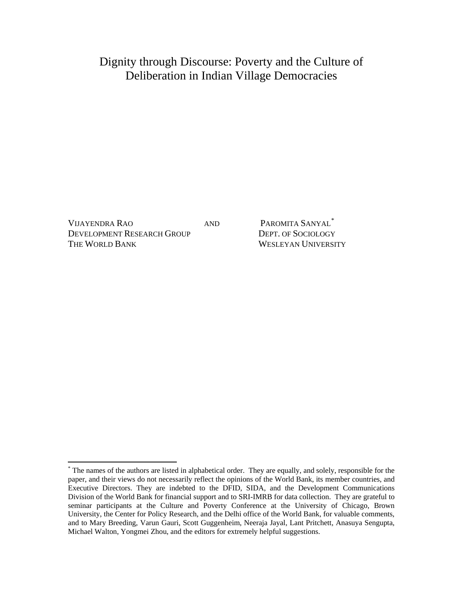# Dignity through Discourse: Poverty and the Culture of Deliberation in Indian Village Democracies

VIJAYENDRA RAO AND PAROMITA SANYAL[\\*](#page-2-0) DEVELOPMENT RESEARCH GROUP DEPT. OF SOCIOLOGY THE WORLD BANK WESLEYAN UNIVERSITY

<span id="page-2-0"></span><sup>\*</sup> The names of the authors are listed in alphabetical order. They are equally, and solely, responsible for the paper, and their views do not necessarily reflect the opinions of the World Bank, its member countries, and Executive Directors. They are indebted to the DFID, SIDA, and the Development Communications Division of the World Bank for financial support and to SRI-IMRB for data collection. They are grateful to seminar participants at the Culture and Poverty Conference at the University of Chicago, Brown University, the Center for Policy Research, and the Delhi office of the World Bank, for valuable comments, and to Mary Breeding, Varun Gauri, Scott Guggenheim, Neeraja Jayal, Lant Pritchett, Anasuya Sengupta, Michael Walton, Yongmei Zhou, and the editors for extremely helpful suggestions.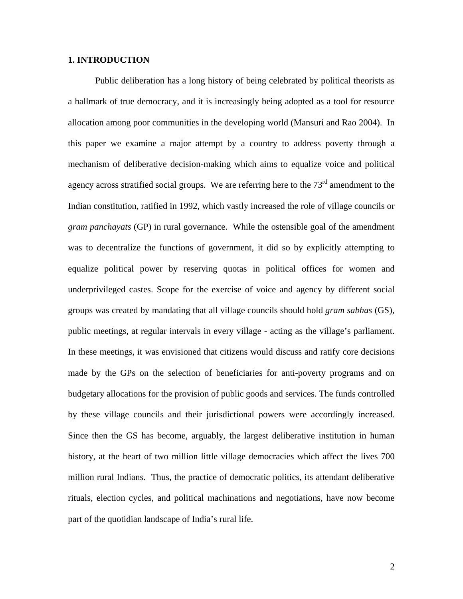#### **1. INTRODUCTION**

Public deliberation has a long history of being celebrated by political theorists as a hallmark of true democracy, and it is increasingly being adopted as a tool for resource allocation among poor communities in the developing world (Mansuri and Rao 2004). In this paper we examine a major attempt by a country to address poverty through a mechanism of deliberative decision-making which aims to equalize voice and political agency across stratified social groups. We are referring here to the  $73<sup>rd</sup>$  amendment to the Indian constitution, ratified in 1992, which vastly increased the role of village councils or *gram panchayats* (GP) in rural governance. While the ostensible goal of the amendment was to decentralize the functions of government, it did so by explicitly attempting to equalize political power by reserving quotas in political offices for women and underprivileged castes. Scope for the exercise of voice and agency by different social groups was created by mandating that all village councils should hold *gram sabhas* (GS), public meetings, at regular intervals in every village - acting as the village's parliament. In these meetings, it was envisioned that citizens would discuss and ratify core decisions made by the GPs on the selection of beneficiaries for anti-poverty programs and on budgetary allocations for the provision of public goods and services. The funds controlled by these village councils and their jurisdictional powers were accordingly increased. Since then the GS has become, arguably, the largest deliberative institution in human history, at the heart of two million little village democracies which affect the lives 700 million rural Indians. Thus, the practice of democratic politics, its attendant deliberative rituals, election cycles, and political machinations and negotiations, have now become part of the quotidian landscape of India's rural life.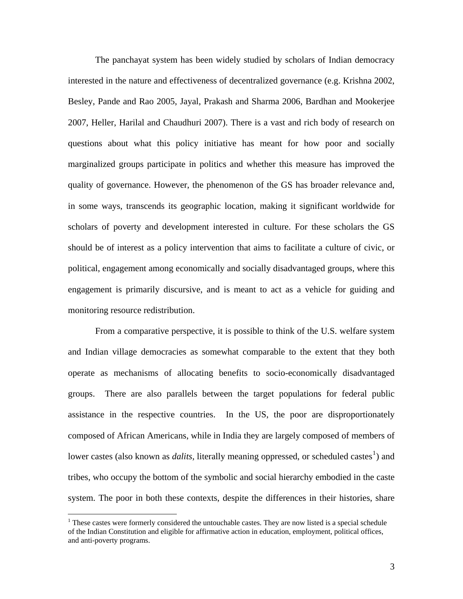The panchayat system has been widely studied by scholars of Indian democracy interested in the nature and effectiveness of decentralized governance (e.g. Krishna 2002, Besley, Pande and Rao 2005, Jayal, Prakash and Sharma 2006, Bardhan and Mookerjee 2007, Heller, Harilal and Chaudhuri 2007). There is a vast and rich body of research on questions about what this policy initiative has meant for how poor and socially marginalized groups participate in politics and whether this measure has improved the quality of governance. However, the phenomenon of the GS has broader relevance and, in some ways, transcends its geographic location, making it significant worldwide for scholars of poverty and development interested in culture. For these scholars the GS should be of interest as a policy intervention that aims to facilitate a culture of civic, or political, engagement among economically and socially disadvantaged groups, where this engagement is primarily discursive, and is meant to act as a vehicle for guiding and monitoring resource redistribution.

From a comparative perspective, it is possible to think of the U.S. welfare system and Indian village democracies as somewhat comparable to the extent that they both operate as mechanisms of allocating benefits to socio-economically disadvantaged groups. There are also parallels between the target populations for federal public assistance in the respective countries. In the US, the poor are disproportionately composed of African Americans, while in India they are largely composed of members of lower castes (also known as *dalits*, literally meaning oppressed, or scheduled castes<sup>[1](#page-4-0)</sup>) and tribes, who occupy the bottom of the symbolic and social hierarchy embodied in the caste system. The poor in both these contexts, despite the differences in their histories, share

1

<span id="page-4-0"></span> $1$  These castes were formerly considered the untouchable castes. They are now listed is a special schedule of the Indian Constitution and eligible for affirmative action in education, employment, political offices, and anti-poverty programs.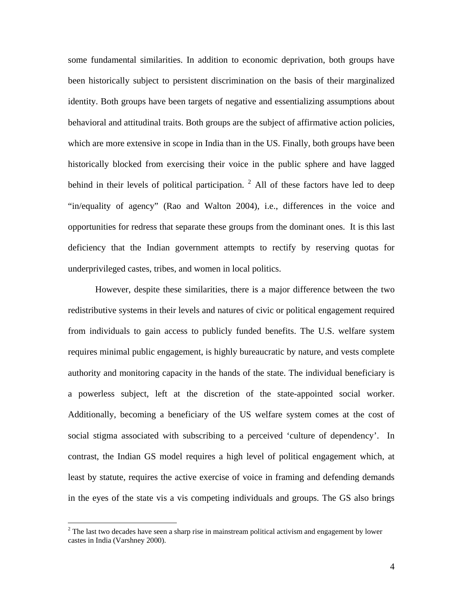some fundamental similarities. In addition to economic deprivation, both groups have been historically subject to persistent discrimination on the basis of their marginalized identity. Both groups have been targets of negative and essentializing assumptions about behavioral and attitudinal traits. Both groups are the subject of affirmative action policies, which are more extensive in scope in India than in the US. Finally, both groups have been historically blocked from exercising their voice in the public sphere and have lagged behind in their levels of political participation.  $2$  All of these factors have led to deep "in/equality of agency" (Rao and Walton 2004), i.e., differences in the voice and opportunities for redress that separate these groups from the dominant ones. It is this last deficiency that the Indian government attempts to rectify by reserving quotas for underprivileged castes, tribes, and women in local politics.

However, despite these similarities, there is a major difference between the two redistributive systems in their levels and natures of civic or political engagement required from individuals to gain access to publicly funded benefits. The U.S. welfare system requires minimal public engagement, is highly bureaucratic by nature, and vests complete authority and monitoring capacity in the hands of the state. The individual beneficiary is a powerless subject, left at the discretion of the state-appointed social worker. Additionally, becoming a beneficiary of the US welfare system comes at the cost of social stigma associated with subscribing to a perceived 'culture of dependency'. In contrast, the Indian GS model requires a high level of political engagement which, at least by statute, requires the active exercise of voice in framing and defending demands in the eyes of the state vis a vis competing individuals and groups. The GS also brings

<span id="page-5-0"></span> $2^2$  The last two decades have seen a sharp rise in mainstream political activism and engagement by lower castes in India (Varshney 2000).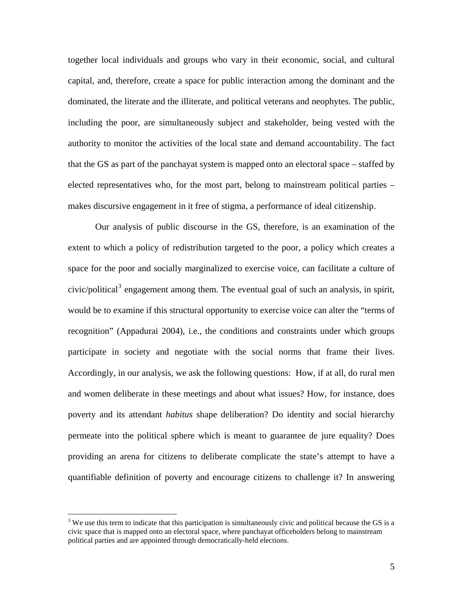together local individuals and groups who vary in their economic, social, and cultural capital, and, therefore, create a space for public interaction among the dominant and the dominated, the literate and the illiterate, and political veterans and neophytes. The public, including the poor, are simultaneously subject and stakeholder, being vested with the authority to monitor the activities of the local state and demand accountability. The fact that the GS as part of the panchayat system is mapped onto an electoral space – staffed by elected representatives who, for the most part, belong to mainstream political parties – makes discursive engagement in it free of stigma, a performance of ideal citizenship.

Our analysis of public discourse in the GS, therefore, is an examination of the extent to which a policy of redistribution targeted to the poor, a policy which creates a space for the poor and socially marginalized to exercise voice, can facilitate a culture of civic/political<sup>[3](#page-6-0)</sup> engagement among them. The eventual goal of such an analysis, in spirit, would be to examine if this structural opportunity to exercise voice can alter the "terms of recognition" (Appadurai 2004), i.e., the conditions and constraints under which groups participate in society and negotiate with the social norms that frame their lives. Accordingly, in our analysis, we ask the following questions: How, if at all, do rural men and women deliberate in these meetings and about what issues? How, for instance, does poverty and its attendant *habitus* shape deliberation? Do identity and social hierarchy permeate into the political sphere which is meant to guarantee de jure equality? Does providing an arena for citizens to deliberate complicate the state's attempt to have a quantifiable definition of poverty and encourage citizens to challenge it? In answering

1

<span id="page-6-0"></span> $3$  We use this term to indicate that this participation is simultaneously civic and political because the GS is a civic space that is mapped onto an electoral space, where panchayat officeholders belong to mainstream political parties and are appointed through democratically-held elections.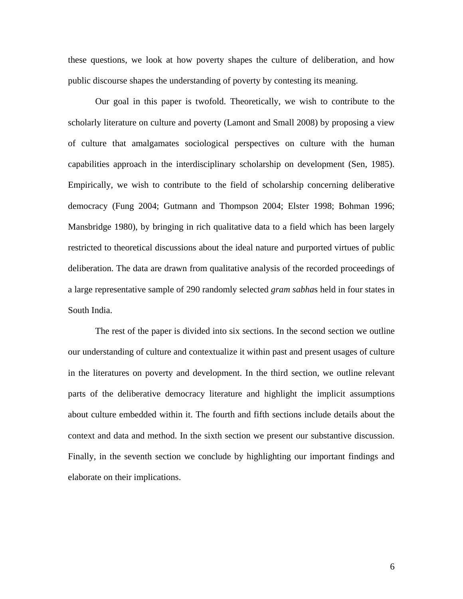these questions, we look at how poverty shapes the culture of deliberation, and how public discourse shapes the understanding of poverty by contesting its meaning.

Our goal in this paper is twofold. Theoretically, we wish to contribute to the scholarly literature on culture and poverty (Lamont and Small 2008) by proposing a view of culture that amalgamates sociological perspectives on culture with the human capabilities approach in the interdisciplinary scholarship on development (Sen, 1985). Empirically, we wish to contribute to the field of scholarship concerning deliberative democracy (Fung 2004; Gutmann and Thompson 2004; Elster 1998; Bohman 1996; Mansbridge 1980), by bringing in rich qualitative data to a field which has been largely restricted to theoretical discussions about the ideal nature and purported virtues of public deliberation. The data are drawn from qualitative analysis of the recorded proceedings of a large representative sample of 290 randomly selected *gram sabha*s held in four states in South India.

The rest of the paper is divided into six sections. In the second section we outline our understanding of culture and contextualize it within past and present usages of culture in the literatures on poverty and development. In the third section, we outline relevant parts of the deliberative democracy literature and highlight the implicit assumptions about culture embedded within it. The fourth and fifth sections include details about the context and data and method. In the sixth section we present our substantive discussion. Finally, in the seventh section we conclude by highlighting our important findings and elaborate on their implications.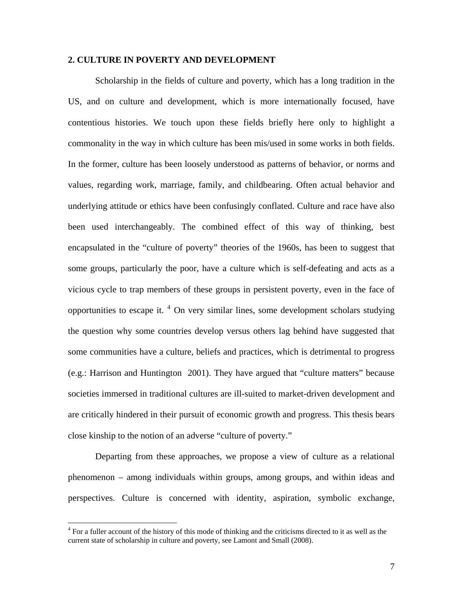#### **2. CULTURE IN POVERTY AND DEVELOPMENT**

Scholarship in the fields of culture and poverty, which has a long tradition in the US, and on culture and development, which is more internationally focused, have contentious histories. We touch upon these fields briefly here only to highlight a commonality in the way in which culture has been mis/used in some works in both fields. In the former, culture has been loosely understood as patterns of behavior, or norms and values, regarding work, marriage, family, and childbearing. Often actual behavior and underlying attitude or ethics have been confusingly conflated. Culture and race have also been used interchangeably. The combined effect of this way of thinking, best encapsulated in the "culture of poverty" theories of the 1960s, has been to suggest that some groups, particularly the poor, have a culture which is self-defeating and acts as a vicious cycle to trap members of these groups in persistent poverty, even in the face of opportunities to escape it.  $4$  On very similar lines, some development scholars studying the question why some countries develop versus others lag behind have suggested that some communities have a culture, beliefs and practices, which is detrimental to progress (e.g.: Harrison and Huntington 2001). They have argued that "culture matters" because societies immersed in traditional cultures are ill-suited to market-driven development and are critically hindered in their pursuit of economic growth and progress. This thesis bears close kinship to the notion of an adverse "culture of poverty."

Departing from these approaches, we propose a view of culture as a relational phenomenon – among individuals within groups, among groups, and within ideas and perspectives. Culture is concerned with identity, aspiration, symbolic exchange,

<span id="page-8-0"></span><sup>&</sup>lt;sup>4</sup> For a fuller account of the history of this mode of thinking and the criticisms directed to it as well as the current state of scholarship in culture and poverty, see Lamont and Small (2008).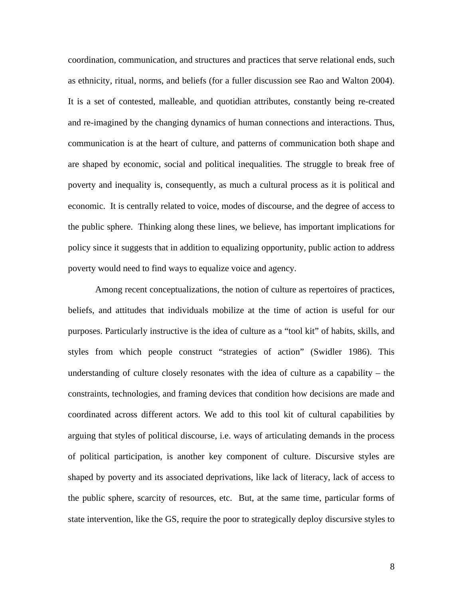coordination, communication, and structures and practices that serve relational ends, such as ethnicity, ritual, norms, and beliefs (for a fuller discussion see Rao and Walton 2004). It is a set of contested, malleable, and quotidian attributes, constantly being re-created and re-imagined by the changing dynamics of human connections and interactions. Thus, communication is at the heart of culture, and patterns of communication both shape and are shaped by economic, social and political inequalities. The struggle to break free of poverty and inequality is, consequently, as much a cultural process as it is political and economic. It is centrally related to voice, modes of discourse, and the degree of access to the public sphere. Thinking along these lines, we believe, has important implications for policy since it suggests that in addition to equalizing opportunity, public action to address poverty would need to find ways to equalize voice and agency.

Among recent conceptualizations, the notion of culture as repertoires of practices, beliefs, and attitudes that individuals mobilize at the time of action is useful for our purposes. Particularly instructive is the idea of culture as a "tool kit" of habits, skills, and styles from which people construct "strategies of action" (Swidler 1986). This understanding of culture closely resonates with the idea of culture as a capability – the constraints, technologies, and framing devices that condition how decisions are made and coordinated across different actors. We add to this tool kit of cultural capabilities by arguing that styles of political discourse, i.e. ways of articulating demands in the process of political participation, is another key component of culture. Discursive styles are shaped by poverty and its associated deprivations, like lack of literacy, lack of access to the public sphere, scarcity of resources, etc. But, at the same time, particular forms of state intervention, like the GS, require the poor to strategically deploy discursive styles to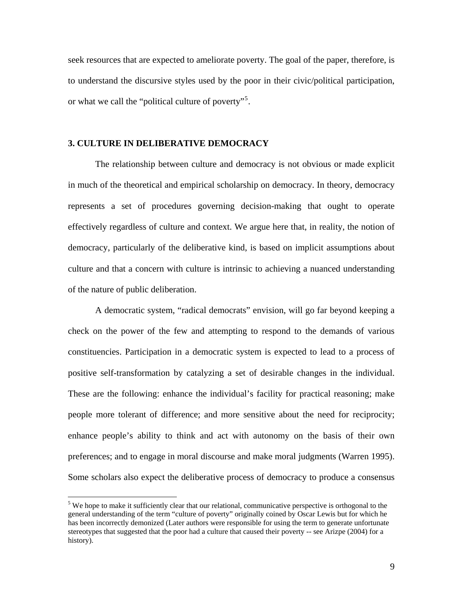seek resources that are expected to ameliorate poverty. The goal of the paper, therefore, is to understand the discursive styles used by the poor in their civic/political participation, or what we call the "political culture of poverty"<sup>[5](#page-10-0)</sup>.

#### **3. CULTURE IN DELIBERATIVE DEMOCRACY**

The relationship between culture and democracy is not obvious or made explicit in much of the theoretical and empirical scholarship on democracy. In theory, democracy represents a set of procedures governing decision-making that ought to operate effectively regardless of culture and context. We argue here that, in reality, the notion of democracy, particularly of the deliberative kind, is based on implicit assumptions about culture and that a concern with culture is intrinsic to achieving a nuanced understanding of the nature of public deliberation.

A democratic system, "radical democrats" envision, will go far beyond keeping a check on the power of the few and attempting to respond to the demands of various constituencies. Participation in a democratic system is expected to lead to a process of positive self-transformation by catalyzing a set of desirable changes in the individual. These are the following: enhance the individual's facility for practical reasoning; make people more tolerant of difference; and more sensitive about the need for reciprocity; enhance people's ability to think and act with autonomy on the basis of their own preferences; and to engage in moral discourse and make moral judgments (Warren 1995). Some scholars also expect the deliberative process of democracy to produce a consensus

<span id="page-10-0"></span><sup>&</sup>lt;sup>5</sup> We hope to make it sufficiently clear that our relational, communicative perspective is orthogonal to the general understanding of the term "culture of poverty" originally coined by Oscar Lewis but for which he has been incorrectly demonized (Later authors were responsible for using the term to generate unfortunate stereotypes that suggested that the poor had a culture that caused their poverty -- see Arizpe (2004) for a history).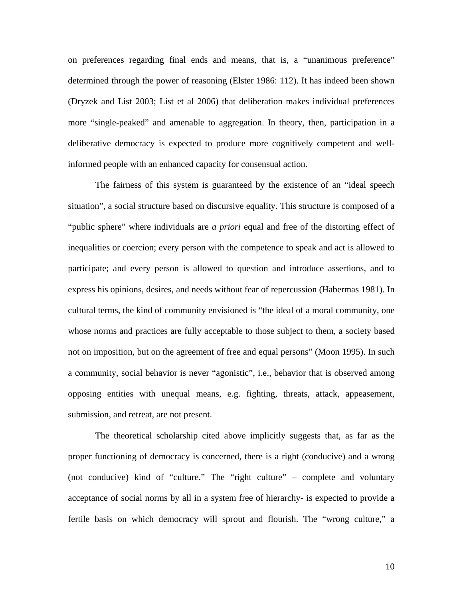on preferences regarding final ends and means, that is, a "unanimous preference" determined through the power of reasoning (Elster 1986: 112). It has indeed been shown (Dryzek and List 2003; List et al 2006) that deliberation makes individual preferences more "single-peaked" and amenable to aggregation. In theory, then, participation in a deliberative democracy is expected to produce more cognitively competent and wellinformed people with an enhanced capacity for consensual action.

The fairness of this system is guaranteed by the existence of an "ideal speech situation", a social structure based on discursive equality. This structure is composed of a "public sphere" where individuals are *a priori* equal and free of the distorting effect of inequalities or coercion; every person with the competence to speak and act is allowed to participate; and every person is allowed to question and introduce assertions, and to express his opinions, desires, and needs without fear of repercussion (Habermas 1981). In cultural terms, the kind of community envisioned is "the ideal of a moral community, one whose norms and practices are fully acceptable to those subject to them, a society based not on imposition, but on the agreement of free and equal persons" (Moon 1995). In such a community, social behavior is never "agonistic", i.e., behavior that is observed among opposing entities with unequal means, e.g. fighting, threats, attack, appeasement, submission, and retreat, are not present.

The theoretical scholarship cited above implicitly suggests that, as far as the proper functioning of democracy is concerned, there is a right (conducive) and a wrong (not conducive) kind of "culture." The "right culture" – complete and voluntary acceptance of social norms by all in a system free of hierarchy- is expected to provide a fertile basis on which democracy will sprout and flourish. The "wrong culture," a

10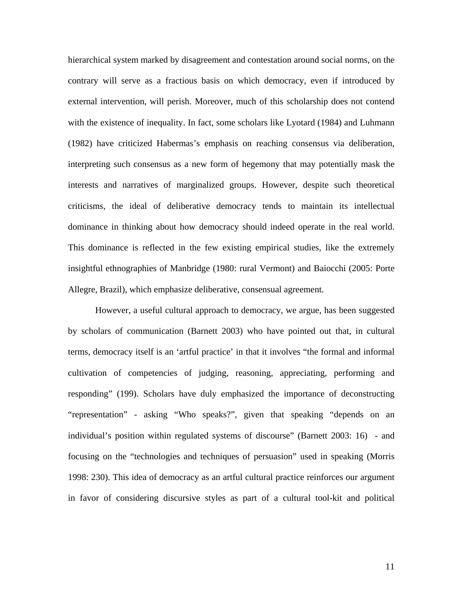hierarchical system marked by disagreement and contestation around social norms, on the contrary will serve as a fractious basis on which democracy, even if introduced by external intervention, will perish. Moreover, much of this scholarship does not contend with the existence of inequality. In fact, some scholars like Lyotard (1984) and Luhmann (1982) have criticized Habermas's emphasis on reaching consensus via deliberation, interpreting such consensus as a new form of hegemony that may potentially mask the interests and narratives of marginalized groups. However, despite such theoretical criticisms, the ideal of deliberative democracy tends to maintain its intellectual dominance in thinking about how democracy should indeed operate in the real world. This dominance is reflected in the few existing empirical studies, like the extremely insightful ethnographies of Manbridge (1980: rural Vermont) and Baiocchi (2005: Porte Allegre, Brazil), which emphasize deliberative, consensual agreement.

However, a useful cultural approach to democracy, we argue, has been suggested by scholars of communication (Barnett 2003) who have pointed out that, in cultural terms, democracy itself is an 'artful practice' in that it involves "the formal and informal cultivation of competencies of judging, reasoning, appreciating, performing and responding" (199). Scholars have duly emphasized the importance of deconstructing "representation" - asking "Who speaks?", given that speaking "depends on an individual's position within regulated systems of discourse" (Barnett 2003: 16) - and focusing on the "technologies and techniques of persuasion" used in speaking (Morris 1998: 230). This idea of democracy as an artful cultural practice reinforces our argument in favor of considering discursive styles as part of a cultural tool-kit and political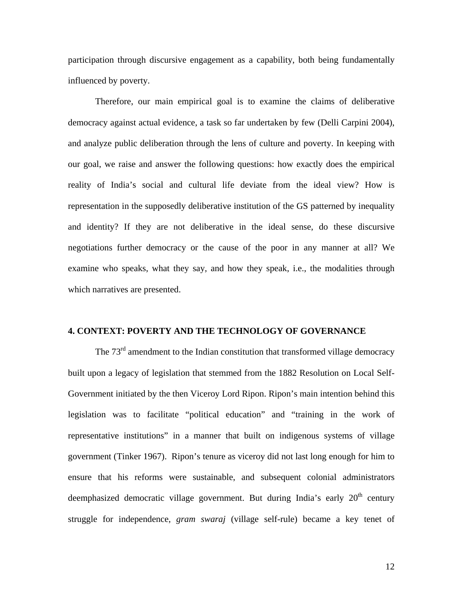participation through discursive engagement as a capability, both being fundamentally influenced by poverty.

Therefore, our main empirical goal is to examine the claims of deliberative democracy against actual evidence, a task so far undertaken by few (Delli Carpini 2004), and analyze public deliberation through the lens of culture and poverty. In keeping with our goal, we raise and answer the following questions: how exactly does the empirical reality of India's social and cultural life deviate from the ideal view? How is representation in the supposedly deliberative institution of the GS patterned by inequality and identity? If they are not deliberative in the ideal sense, do these discursive negotiations further democracy or the cause of the poor in any manner at all? We examine who speaks, what they say, and how they speak, i.e., the modalities through which narratives are presented.

#### **4. CONTEXT: POVERTY AND THE TECHNOLOGY OF GOVERNANCE**

The  $73<sup>rd</sup>$  amendment to the Indian constitution that transformed village democracy built upon a legacy of legislation that stemmed from the 1882 Resolution on Local Self-Government initiated by the then Viceroy Lord Ripon. Ripon's main intention behind this legislation was to facilitate "political education" and "training in the work of representative institutions" in a manner that built on indigenous systems of village government (Tinker 1967). Ripon's tenure as viceroy did not last long enough for him to ensure that his reforms were sustainable, and subsequent colonial administrators deemphasized democratic village government. But during India's early  $20<sup>th</sup>$  century struggle for independence, *gram swaraj* (village self-rule) became a key tenet of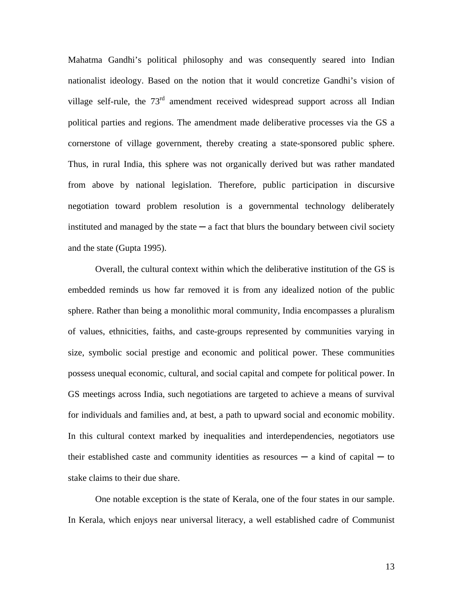Mahatma Gandhi's political philosophy and was consequently seared into Indian nationalist ideology. Based on the notion that it would concretize Gandhi's vision of village self-rule, the  $73<sup>rd</sup>$  amendment received widespread support across all Indian political parties and regions. The amendment made deliberative processes via the GS a cornerstone of village government, thereby creating a state-sponsored public sphere. Thus, in rural India, this sphere was not organically derived but was rather mandated from above by national legislation. Therefore, public participation in discursive negotiation toward problem resolution is a governmental technology deliberately instituted and managed by the state  $-\alpha$  fact that blurs the boundary between civil society and the state (Gupta 1995).

Overall, the cultural context within which the deliberative institution of the GS is embedded reminds us how far removed it is from any idealized notion of the public sphere. Rather than being a monolithic moral community, India encompasses a pluralism of values, ethnicities, faiths, and caste-groups represented by communities varying in size, symbolic social prestige and economic and political power. These communities possess unequal economic, cultural, and social capital and compete for political power. In GS meetings across India, such negotiations are targeted to achieve a means of survival for individuals and families and, at best, a path to upward social and economic mobility. In this cultural context marked by inequalities and interdependencies, negotiators use their established caste and community identities as resources  $-$  a kind of capital  $-$  to stake claims to their due share.

One notable exception is the state of Kerala, one of the four states in our sample. In Kerala, which enjoys near universal literacy, a well established cadre of Communist

13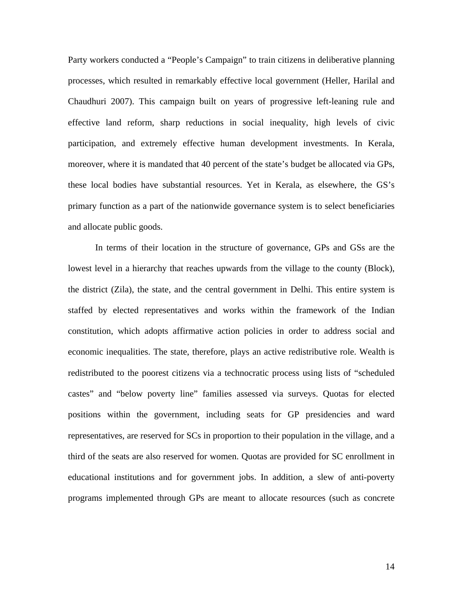Party workers conducted a "People's Campaign" to train citizens in deliberative planning processes, which resulted in remarkably effective local government (Heller, Harilal and Chaudhuri 2007). This campaign built on years of progressive left-leaning rule and effective land reform, sharp reductions in social inequality, high levels of civic participation, and extremely effective human development investments. In Kerala, moreover, where it is mandated that 40 percent of the state's budget be allocated via GPs, these local bodies have substantial resources. Yet in Kerala, as elsewhere, the GS's primary function as a part of the nationwide governance system is to select beneficiaries and allocate public goods.

In terms of their location in the structure of governance, GPs and GSs are the lowest level in a hierarchy that reaches upwards from the village to the county (Block), the district (Zila), the state, and the central government in Delhi. This entire system is staffed by elected representatives and works within the framework of the Indian constitution, which adopts affirmative action policies in order to address social and economic inequalities. The state, therefore, plays an active redistributive role. Wealth is redistributed to the poorest citizens via a technocratic process using lists of "scheduled castes" and "below poverty line" families assessed via surveys. Quotas for elected positions within the government, including seats for GP presidencies and ward representatives, are reserved for SCs in proportion to their population in the village, and a third of the seats are also reserved for women. Quotas are provided for SC enrollment in educational institutions and for government jobs. In addition, a slew of anti-poverty programs implemented through GPs are meant to allocate resources (such as concrete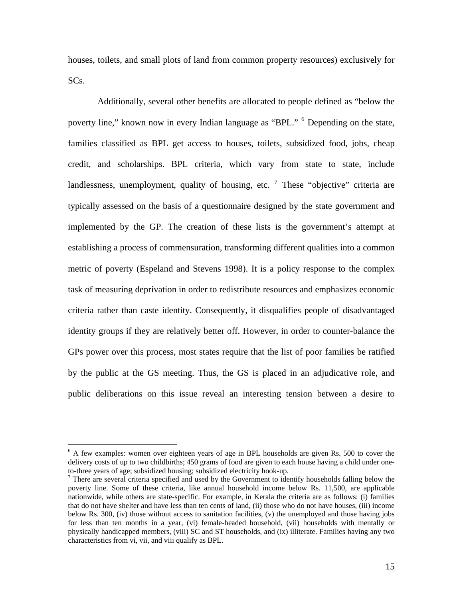houses, toilets, and small plots of land from common property resources) exclusively for SCs.

Additionally, several other benefits are allocated to people defined as "below the poverty line," known now in every Indian language as "BPL." <sup>[6](#page-16-0)</sup> Depending on the state, families classified as BPL get access to houses, toilets, subsidized food, jobs, cheap credit, and scholarships. BPL criteria, which vary from state to state, include landlessness, unemployment, quality of housing, etc.  $\frac{7}{1}$  $\frac{7}{1}$  $\frac{7}{1}$  These "objective" criteria are typically assessed on the basis of a questionnaire designed by the state government and implemented by the GP. The creation of these lists is the government's attempt at establishing a process of commensuration, transforming different qualities into a common metric of poverty (Espeland and Stevens 1998). It is a policy response to the complex task of measuring deprivation in order to redistribute resources and emphasizes economic criteria rather than caste identity. Consequently, it disqualifies people of disadvantaged identity groups if they are relatively better off. However, in order to counter-balance the GPs power over this process, most states require that the list of poor families be ratified by the public at the GS meeting. Thus, the GS is placed in an adjudicative role, and public deliberations on this issue reveal an interesting tension between a desire to

<span id="page-16-0"></span> $6$  A few examples: women over eighteen years of age in BPL households are given Rs. 500 to cover the delivery costs of up to two childbirths; 450 grams of food are given to each house having a child under oneto-three years of age; subsidized housing; subsidized electricity hook-up. 7

<span id="page-16-1"></span>There are several criteria specified and used by the Government to identify households falling below the poverty line. Some of these criteria, like annual household income below Rs. 11,500, are applicable nationwide, while others are state-specific. For example, in Kerala the criteria are as follows: (i) families that do not have shelter and have less than ten cents of land, (ii) those who do not have houses, (iii) income below Rs. 300, (iv) those without access to sanitation facilities, (v) the unemployed and those having jobs for less than ten months in a year, (vi) female-headed household, (vii) households with mentally or physically handicapped members, (viii) SC and ST households, and (ix) illiterate. Families having any two characteristics from vi, vii, and viii qualify as BPL.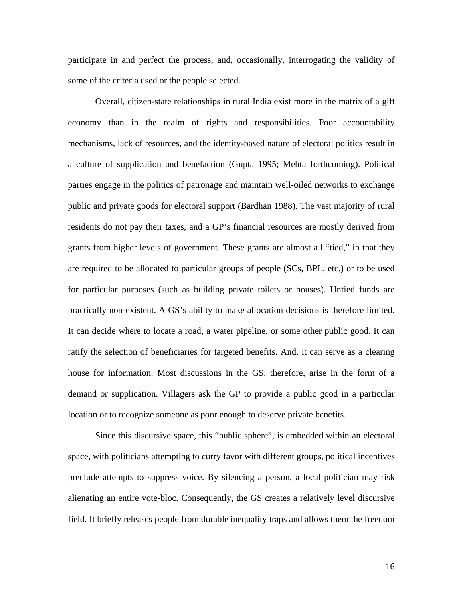participate in and perfect the process, and, occasionally, interrogating the validity of some of the criteria used or the people selected.

Overall, citizen-state relationships in rural India exist more in the matrix of a gift economy than in the realm of rights and responsibilities. Poor accountability mechanisms, lack of resources, and the identity-based nature of electoral politics result in a culture of supplication and benefaction (Gupta 1995; Mehta forthcoming). Political parties engage in the politics of patronage and maintain well-oiled networks to exchange public and private goods for electoral support (Bardhan 1988). The vast majority of rural residents do not pay their taxes, and a GP's financial resources are mostly derived from grants from higher levels of government. These grants are almost all "tied," in that they are required to be allocated to particular groups of people (SCs, BPL, etc.) or to be used for particular purposes (such as building private toilets or houses). Untied funds are practically non-existent. A GS's ability to make allocation decisions is therefore limited. It can decide where to locate a road, a water pipeline, or some other public good. It can ratify the selection of beneficiaries for targeted benefits. And, it can serve as a clearing house for information. Most discussions in the GS, therefore, arise in the form of a demand or supplication. Villagers ask the GP to provide a public good in a particular location or to recognize someone as poor enough to deserve private benefits.

Since this discursive space, this "public sphere", is embedded within an electoral space, with politicians attempting to curry favor with different groups, political incentives preclude attempts to suppress voice. By silencing a person, a local politician may risk alienating an entire vote-bloc. Consequently, the GS creates a relatively level discursive field. It briefly releases people from durable inequality traps and allows them the freedom

16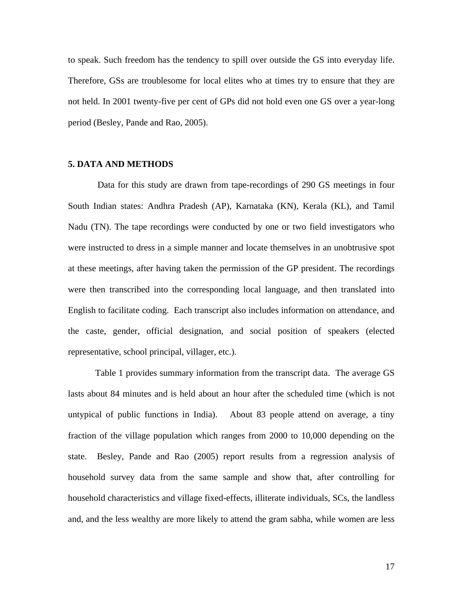to speak. Such freedom has the tendency to spill over outside the GS into everyday life. Therefore, GSs are troublesome for local elites who at times try to ensure that they are not held. In 2001 twenty-five per cent of GPs did not hold even one GS over a year-long period (Besley, Pande and Rao, 2005).

#### **5. DATA AND METHODS**

Data for this study are drawn from tape-recordings of 290 GS meetings in four South Indian states: Andhra Pradesh (AP), Karnataka (KN), Kerala (KL), and Tamil Nadu (TN). The tape recordings were conducted by one or two field investigators who were instructed to dress in a simple manner and locate themselves in an unobtrusive spot at these meetings, after having taken the permission of the GP president. The recordings were then transcribed into the corresponding local language, and then translated into English to facilitate coding. Each transcript also includes information on attendance, and the caste, gender, official designation, and social position of speakers (elected representative, school principal, villager, etc.).

Table 1 provides summary information from the transcript data. The average GS lasts about 84 minutes and is held about an hour after the scheduled time (which is not untypical of public functions in India). About 83 people attend on average, a tiny fraction of the village population which ranges from 2000 to 10,000 depending on the state. Besley, Pande and Rao (2005) report results from a regression analysis of household survey data from the same sample and show that, after controlling for household characteristics and village fixed-effects, illiterate individuals, SCs, the landless and, and the less wealthy are more likely to attend the gram sabha, while women are less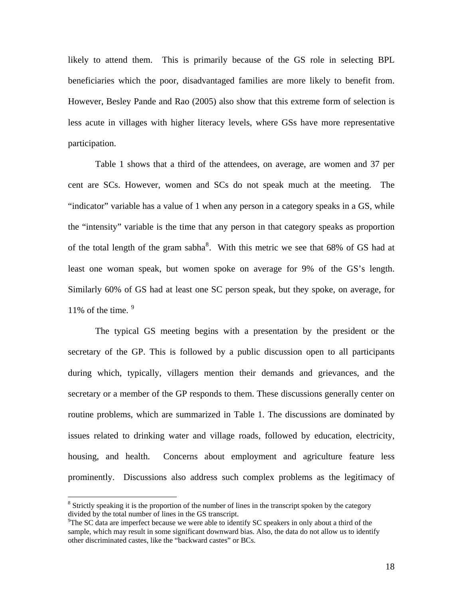likely to attend them. This is primarily because of the GS role in selecting BPL beneficiaries which the poor, disadvantaged families are more likely to benefit from. However, Besley Pande and Rao (2005) also show that this extreme form of selection is less acute in villages with higher literacy levels, where GSs have more representative participation.

Table 1 shows that a third of the attendees, on average, are women and 37 per cent are SCs. However, women and SCs do not speak much at the meeting. The "indicator" variable has a value of 1 when any person in a category speaks in a GS, while the "intensity" variable is the time that any person in that category speaks as proportion of the total length of the gram sabha ${}^{8}$  ${}^{8}$  ${}^{8}$ . With this metric we see that 68% of GS had at least one woman speak, but women spoke on average for 9% of the GS's length. Similarly 60% of GS had at least one SC person speak, but they spoke, on average, for 11% of the time.  $9$ 

The typical GS meeting begins with a presentation by the president or the secretary of the GP. This is followed by a public discussion open to all participants during which, typically, villagers mention their demands and grievances, and the secretary or a member of the GP responds to them. These discussions generally center on routine problems, which are summarized in Table 1. The discussions are dominated by issues related to drinking water and village roads, followed by education, electricity, housing, and health. Concerns about employment and agriculture feature less prominently. Discussions also address such complex problems as the legitimacy of

1

<span id="page-19-0"></span><sup>&</sup>lt;sup>8</sup> Strictly speaking it is the proportion of the number of lines in the transcript spoken by the category divided by the total number of lines in the GS transcript.

<span id="page-19-1"></span><sup>&</sup>lt;sup>9</sup>The SC data are imperfect because we were able to identify SC speakers in only about a third of the sample, which may result in some significant downward bias. Also, the data do not allow us to identify other discriminated castes, like the "backward castes" or BCs.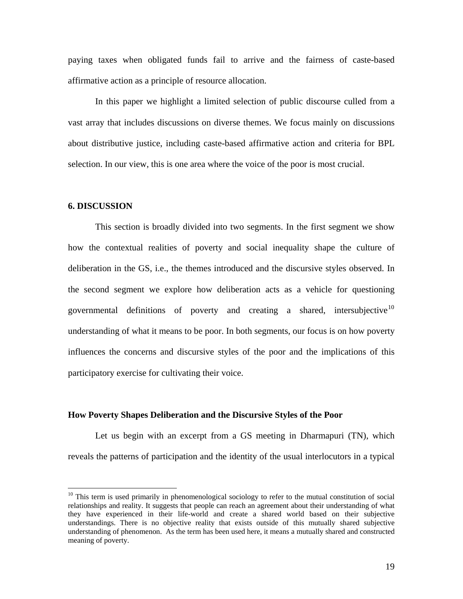paying taxes when obligated funds fail to arrive and the fairness of caste-based affirmative action as a principle of resource allocation.

In this paper we highlight a limited selection of public discourse culled from a vast array that includes discussions on diverse themes. We focus mainly on discussions about distributive justice, including caste-based affirmative action and criteria for BPL selection. In our view, this is one area where the voice of the poor is most crucial.

#### **6. DISCUSSION**

1

This section is broadly divided into two segments. In the first segment we show how the contextual realities of poverty and social inequality shape the culture of deliberation in the GS, i.e., the themes introduced and the discursive styles observed. In the second segment we explore how deliberation acts as a vehicle for questioning governmental definitions of poverty and creating a shared, intersubjective<sup>[10](#page-20-0)</sup> understanding of what it means to be poor. In both segments, our focus is on how poverty influences the concerns and discursive styles of the poor and the implications of this participatory exercise for cultivating their voice.

#### **How Poverty Shapes Deliberation and the Discursive Styles of the Poor**

Let us begin with an excerpt from a GS meeting in Dharmapuri (TN), which reveals the patterns of participation and the identity of the usual interlocutors in a typical

<span id="page-20-0"></span> $10$  This term is used primarily in phenomenological sociology to refer to the mutual constitution of social relationships and reality. It suggests that people can reach an agreement about their understanding of what they have experienced in their life-world and create a shared world based on their subjective understandings. There is no objective reality that exists outside of this mutually shared subjective understanding of phenomenon. As the term has been used here, it means a mutually shared and constructed meaning of poverty.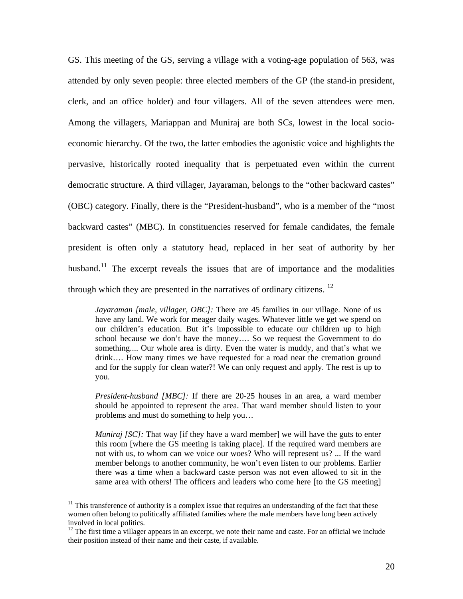GS. This meeting of the GS, serving a village with a voting-age population of 563, was attended by only seven people: three elected members of the GP (the stand-in president, clerk, and an office holder) and four villagers. All of the seven attendees were men. Among the villagers, Mariappan and Muniraj are both SCs, lowest in the local socioeconomic hierarchy. Of the two, the latter embodies the agonistic voice and highlights the pervasive, historically rooted inequality that is perpetuated even within the current democratic structure. A third villager, Jayaraman, belongs to the "other backward castes" (OBC) category. Finally, there is the "President-husband", who is a member of the "most backward castes" (MBC). In constituencies reserved for female candidates, the female president is often only a statutory head, replaced in her seat of authority by her husband.<sup>[11](#page-21-0)</sup> The excerpt reveals the issues that are of importance and the modalities through which they are presented in the narratives of ordinary citizens.  $12$ 

*Jayaraman [male, villager, OBC]:* There are 45 families in our village. None of us have any land. We work for meager daily wages. Whatever little we get we spend on our children's education. But it's impossible to educate our children up to high school because we don't have the money…. So we request the Government to do something.... Our whole area is dirty. Even the water is muddy, and that's what we drink…. How many times we have requested for a road near the cremation ground and for the supply for clean water?! We can only request and apply. The rest is up to you.

*President-husband [MBC]:* If there are 20-25 houses in an area, a ward member should be appointed to represent the area. That ward member should listen to your problems and must do something to help you…

*Muniraj [SC]:* That way [if they have a ward member] we will have the guts to enter this room [where the GS meeting is taking place]. If the required ward members are not with us, to whom can we voice our woes? Who will represent us? ... If the ward member belongs to another community, he won't even listen to our problems. Earlier there was a time when a backward caste person was not even allowed to sit in the same area with others! The officers and leaders who come here [to the GS meeting]

<span id="page-21-0"></span> $11$  This transference of authority is a complex issue that requires an understanding of the fact that these women often belong to politically affiliated families where the male members have long been actively involved in local politics.

 $12$  The first time a villager appears in an excerpt, we note their name and caste. For an official we include their position instead of their name and their caste, if available.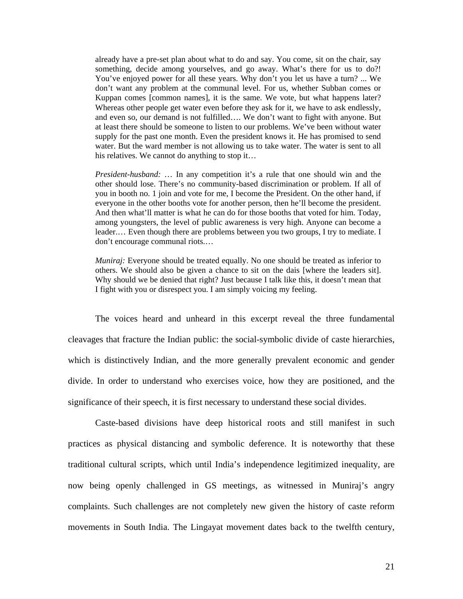already have a pre-set plan about what to do and say. You come, sit on the chair, say something, decide among yourselves, and go away. What's there for us to do?! You've enjoyed power for all these years. Why don't you let us have a turn? ... We don't want any problem at the communal level. For us, whether Subban comes or Kuppan comes [common names], it is the same. We vote, but what happens later? Whereas other people get water even before they ask for it, we have to ask endlessly, and even so, our demand is not fulfilled…. We don't want to fight with anyone. But at least there should be someone to listen to our problems. We've been without water supply for the past one month. Even the president knows it. He has promised to send water. But the ward member is not allowing us to take water. The water is sent to all his relatives. We cannot do anything to stop it…

*President-husband:* … In any competition it's a rule that one should win and the other should lose. There's no community-based discrimination or problem. If all of you in booth no. 1 join and vote for me, I become the President. On the other hand, if everyone in the other booths vote for another person, then he'll become the president. And then what'll matter is what he can do for those booths that voted for him. Today, among youngsters, the level of public awareness is very high. Anyone can become a leader.… Even though there are problems between you two groups, I try to mediate. I don't encourage communal riots.…

*Muniraj:* Everyone should be treated equally. No one should be treated as inferior to others. We should also be given a chance to sit on the dais [where the leaders sit]. Why should we be denied that right? Just because I talk like this, it doesn't mean that I fight with you or disrespect you. I am simply voicing my feeling.

The voices heard and unheard in this excerpt reveal the three fundamental cleavages that fracture the Indian public: the social-symbolic divide of caste hierarchies, which is distinctively Indian, and the more generally prevalent economic and gender divide. In order to understand who exercises voice, how they are positioned, and the significance of their speech, it is first necessary to understand these social divides.

Caste-based divisions have deep historical roots and still manifest in such practices as physical distancing and symbolic deference. It is noteworthy that these traditional cultural scripts, which until India's independence legitimized inequality, are now being openly challenged in GS meetings, as witnessed in Muniraj's angry complaints. Such challenges are not completely new given the history of caste reform movements in South India. The Lingayat movement dates back to the twelfth century,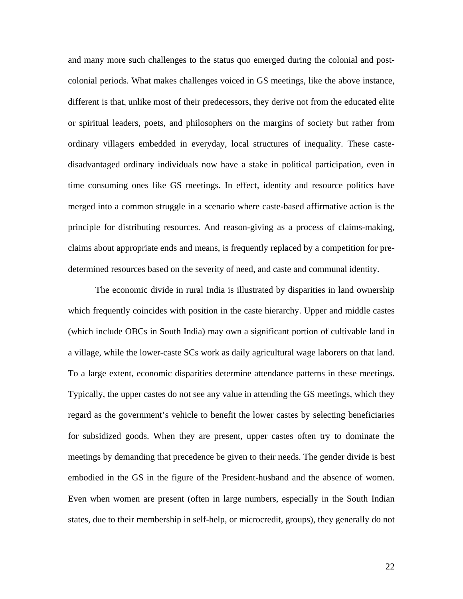and many more such challenges to the status quo emerged during the colonial and postcolonial periods. What makes challenges voiced in GS meetings, like the above instance, different is that, unlike most of their predecessors, they derive not from the educated elite or spiritual leaders, poets, and philosophers on the margins of society but rather from ordinary villagers embedded in everyday, local structures of inequality. These castedisadvantaged ordinary individuals now have a stake in political participation, even in time consuming ones like GS meetings. In effect, identity and resource politics have merged into a common struggle in a scenario where caste-based affirmative action is the principle for distributing resources. And reason-giving as a process of claims-making, claims about appropriate ends and means, is frequently replaced by a competition for predetermined resources based on the severity of need, and caste and communal identity.

The economic divide in rural India is illustrated by disparities in land ownership which frequently coincides with position in the caste hierarchy. Upper and middle castes (which include OBCs in South India) may own a significant portion of cultivable land in a village, while the lower-caste SCs work as daily agricultural wage laborers on that land. To a large extent, economic disparities determine attendance patterns in these meetings. Typically, the upper castes do not see any value in attending the GS meetings, which they regard as the government's vehicle to benefit the lower castes by selecting beneficiaries for subsidized goods. When they are present, upper castes often try to dominate the meetings by demanding that precedence be given to their needs. The gender divide is best embodied in the GS in the figure of the President-husband and the absence of women. Even when women are present (often in large numbers, especially in the South Indian states, due to their membership in self-help, or microcredit, groups), they generally do not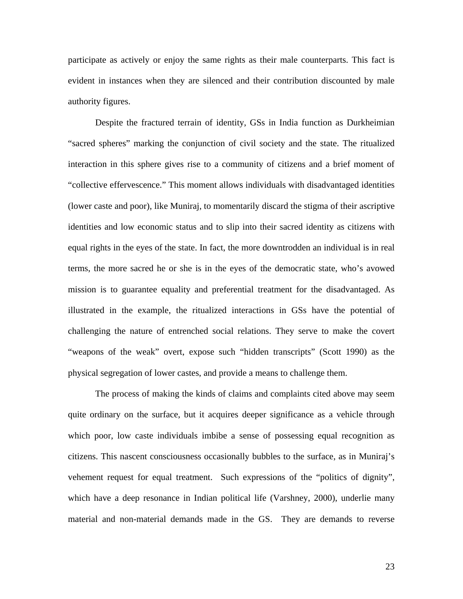participate as actively or enjoy the same rights as their male counterparts. This fact is evident in instances when they are silenced and their contribution discounted by male authority figures.

Despite the fractured terrain of identity, GSs in India function as Durkheimian "sacred spheres" marking the conjunction of civil society and the state. The ritualized interaction in this sphere gives rise to a community of citizens and a brief moment of "collective effervescence." This moment allows individuals with disadvantaged identities (lower caste and poor), like Muniraj, to momentarily discard the stigma of their ascriptive identities and low economic status and to slip into their sacred identity as citizens with equal rights in the eyes of the state. In fact, the more downtrodden an individual is in real terms, the more sacred he or she is in the eyes of the democratic state, who's avowed mission is to guarantee equality and preferential treatment for the disadvantaged. As illustrated in the example, the ritualized interactions in GSs have the potential of challenging the nature of entrenched social relations. They serve to make the covert "weapons of the weak" overt, expose such "hidden transcripts" (Scott 1990) as the physical segregation of lower castes, and provide a means to challenge them.

The process of making the kinds of claims and complaints cited above may seem quite ordinary on the surface, but it acquires deeper significance as a vehicle through which poor, low caste individuals imbibe a sense of possessing equal recognition as citizens. This nascent consciousness occasionally bubbles to the surface, as in Muniraj's vehement request for equal treatment. Such expressions of the "politics of dignity", which have a deep resonance in Indian political life (Varshney, 2000), underlie many material and non-material demands made in the GS. They are demands to reverse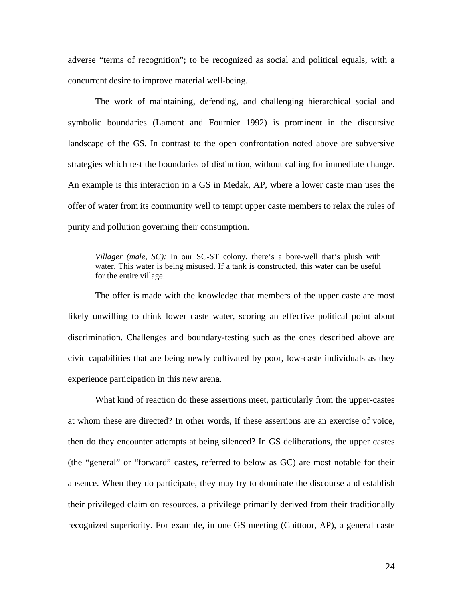adverse "terms of recognition"; to be recognized as social and political equals, with a concurrent desire to improve material well-being.

The work of maintaining, defending, and challenging hierarchical social and symbolic boundaries (Lamont and Fournier 1992) is prominent in the discursive landscape of the GS. In contrast to the open confrontation noted above are subversive strategies which test the boundaries of distinction, without calling for immediate change. An example is this interaction in a GS in Medak, AP, where a lower caste man uses the offer of water from its community well to tempt upper caste members to relax the rules of purity and pollution governing their consumption.

*Villager (male, SC):* In our SC-ST colony, there's a bore-well that's plush with water. This water is being misused. If a tank is constructed, this water can be useful for the entire village.

The offer is made with the knowledge that members of the upper caste are most likely unwilling to drink lower caste water, scoring an effective political point about discrimination. Challenges and boundary-testing such as the ones described above are civic capabilities that are being newly cultivated by poor, low-caste individuals as they experience participation in this new arena.

What kind of reaction do these assertions meet, particularly from the upper-castes at whom these are directed? In other words, if these assertions are an exercise of voice, then do they encounter attempts at being silenced? In GS deliberations, the upper castes (the "general" or "forward" castes, referred to below as GC) are most notable for their absence. When they do participate, they may try to dominate the discourse and establish their privileged claim on resources, a privilege primarily derived from their traditionally recognized superiority. For example, in one GS meeting (Chittoor, AP), a general caste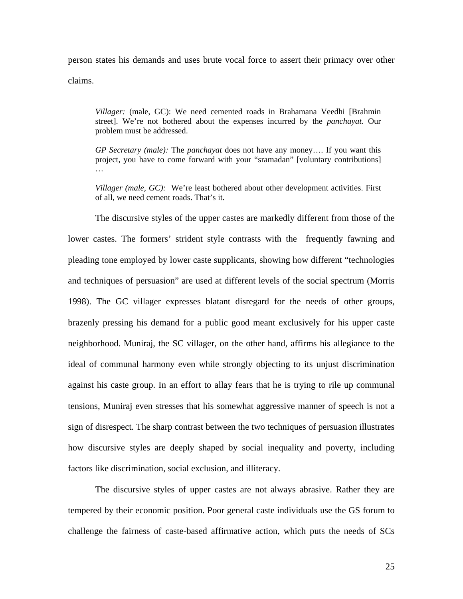person states his demands and uses brute vocal force to assert their primacy over other claims.

*Villager:* (male, GC): We need cemented roads in Brahamana Veedhi [Brahmin street]. We're not bothered about the expenses incurred by the *panchayat*. Our problem must be addressed.

*GP Secretary (male):* The *panchayat* does not have any money…. If you want this project, you have to come forward with your "sramadan" [voluntary contributions] …

*Villager (male, GC):* We're least bothered about other development activities. First of all, we need cement roads. That's it.

 The discursive styles of the upper castes are markedly different from those of the lower castes. The formers' strident style contrasts with the frequently fawning and pleading tone employed by lower caste supplicants, showing how different "technologies and techniques of persuasion" are used at different levels of the social spectrum (Morris 1998). The GC villager expresses blatant disregard for the needs of other groups, brazenly pressing his demand for a public good meant exclusively for his upper caste neighborhood. Muniraj, the SC villager, on the other hand, affirms his allegiance to the ideal of communal harmony even while strongly objecting to its unjust discrimination against his caste group. In an effort to allay fears that he is trying to rile up communal tensions, Muniraj even stresses that his somewhat aggressive manner of speech is not a sign of disrespect. The sharp contrast between the two techniques of persuasion illustrates how discursive styles are deeply shaped by social inequality and poverty, including factors like discrimination, social exclusion, and illiteracy.

The discursive styles of upper castes are not always abrasive. Rather they are tempered by their economic position. Poor general caste individuals use the GS forum to challenge the fairness of caste-based affirmative action, which puts the needs of SCs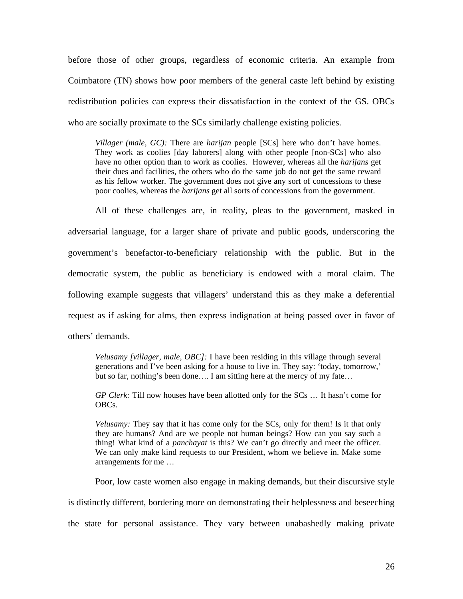before those of other groups, regardless of economic criteria. An example from Coimbatore (TN) shows how poor members of the general caste left behind by existing redistribution policies can express their dissatisfaction in the context of the GS. OBCs who are socially proximate to the SCs similarly challenge existing policies.

*Villager (male, GC):* There are *harijan* people [SCs] here who don't have homes. They work as coolies [day laborers] along with other people [non-SCs] who also have no other option than to work as coolies. However, whereas all the *harijans* get their dues and facilities, the others who do the same job do not get the same reward as his fellow worker. The government does not give any sort of concessions to these poor coolies, whereas the *harijans* get all sorts of concessions from the government.

All of these challenges are, in reality, pleas to the government, masked in adversarial language, for a larger share of private and public goods, underscoring the government's benefactor-to-beneficiary relationship with the public. But in the democratic system, the public as beneficiary is endowed with a moral claim. The following example suggests that villagers' understand this as they make a deferential request as if asking for alms, then express indignation at being passed over in favor of others' demands.

*Velusamy [villager, male, OBC]:* I have been residing in this village through several generations and I've been asking for a house to live in. They say: 'today, tomorrow,' but so far, nothing's been done…. I am sitting here at the mercy of my fate…

*GP Clerk:* Till now houses have been allotted only for the SCs … It hasn't come for OBCs.

*Velusamy:* They say that it has come only for the SCs, only for them! Is it that only they are humans? And are we people not human beings? How can you say such a thing! What kind of a *panchayat* is this? We can't go directly and meet the officer. We can only make kind requests to our President, whom we believe in. Make some arrangements for me …

 Poor, low caste women also engage in making demands, but their discursive style is distinctly different, bordering more on demonstrating their helplessness and beseeching the state for personal assistance. They vary between unabashedly making private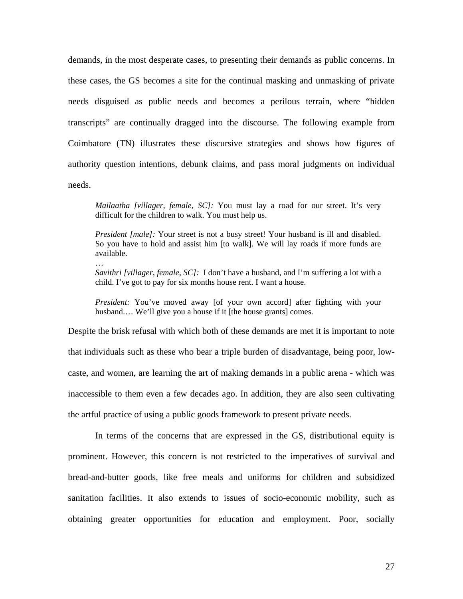demands, in the most desperate cases, to presenting their demands as public concerns. In these cases, the GS becomes a site for the continual masking and unmasking of private needs disguised as public needs and becomes a perilous terrain, where "hidden transcripts" are continually dragged into the discourse. The following example from Coimbatore (TN) illustrates these discursive strategies and shows how figures of authority question intentions, debunk claims, and pass moral judgments on individual needs.

*Mailaatha [villager, female, SC]:* You must lay a road for our street. It's very difficult for the children to walk. You must help us.

*President [male]:* Your street is not a busy street! Your husband is ill and disabled. So you have to hold and assist him [to walk]. We will lay roads if more funds are available.

*Savithri [villager, female, SC]:* I don't have a husband, and I'm suffering a lot with a child. I've got to pay for six months house rent. I want a house.

…

*President:* You've moved away [of your own accord] after fighting with your husband.... We'll give you a house if it [the house grants] comes.

Despite the brisk refusal with which both of these demands are met it is important to note that individuals such as these who bear a triple burden of disadvantage, being poor, lowcaste, and women, are learning the art of making demands in a public arena - which was inaccessible to them even a few decades ago. In addition, they are also seen cultivating the artful practice of using a public goods framework to present private needs.

In terms of the concerns that are expressed in the GS, distributional equity is prominent. However, this concern is not restricted to the imperatives of survival and bread-and-butter goods, like free meals and uniforms for children and subsidized sanitation facilities. It also extends to issues of socio-economic mobility, such as obtaining greater opportunities for education and employment. Poor, socially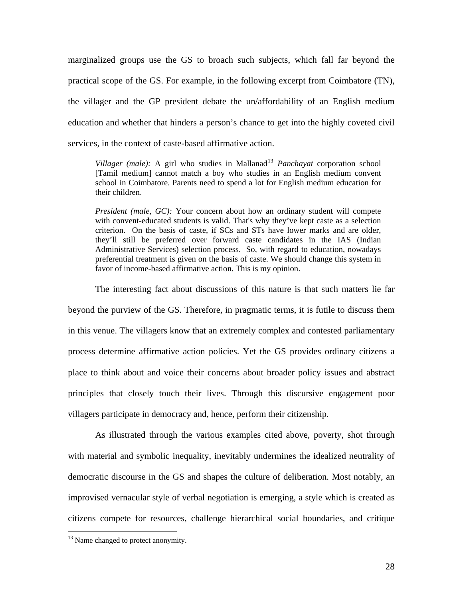marginalized groups use the GS to broach such subjects, which fall far beyond the practical scope of the GS. For example, in the following excerpt from Coimbatore (TN), the villager and the GP president debate the un/affordability of an English medium education and whether that hinders a person's chance to get into the highly coveted civil services, in the context of caste-based affirmative action.

*Villager (male):* A girl who studies in Mallanad<sup>[13](#page-29-0)</sup> *Panchayat* corporation school [Tamil medium] cannot match a boy who studies in an English medium convent school in Coimbatore. Parents need to spend a lot for English medium education for their children.

*President (male, GC):* Your concern about how an ordinary student will compete with convent-educated students is valid. That's why they've kept caste as a selection criterion. On the basis of caste, if SCs and STs have lower marks and are older, they'll still be preferred over forward caste candidates in the IAS (Indian Administrative Services) selection process. So, with regard to education, nowadays preferential treatment is given on the basis of caste. We should change this system in favor of income-based affirmative action. This is my opinion.

The interesting fact about discussions of this nature is that such matters lie far beyond the purview of the GS. Therefore, in pragmatic terms, it is futile to discuss them in this venue. The villagers know that an extremely complex and contested parliamentary process determine affirmative action policies. Yet the GS provides ordinary citizens a place to think about and voice their concerns about broader policy issues and abstract principles that closely touch their lives. Through this discursive engagement poor villagers participate in democracy and, hence, perform their citizenship.

As illustrated through the various examples cited above, poverty, shot through with material and symbolic inequality, inevitably undermines the idealized neutrality of democratic discourse in the GS and shapes the culture of deliberation. Most notably, an improvised vernacular style of verbal negotiation is emerging, a style which is created as citizens compete for resources, challenge hierarchical social boundaries, and critique

<span id="page-29-0"></span><sup>&</sup>lt;sup>13</sup> Name changed to protect anonymity.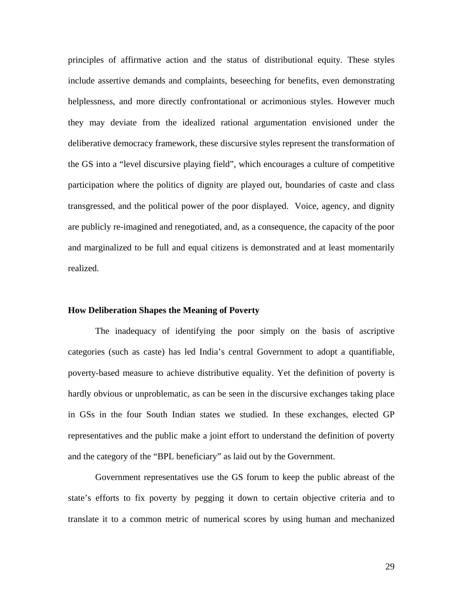principles of affirmative action and the status of distributional equity. These styles include assertive demands and complaints, beseeching for benefits, even demonstrating helplessness, and more directly confrontational or acrimonious styles. However much they may deviate from the idealized rational argumentation envisioned under the deliberative democracy framework, these discursive styles represent the transformation of the GS into a "level discursive playing field", which encourages a culture of competitive participation where the politics of dignity are played out, boundaries of caste and class transgressed, and the political power of the poor displayed. Voice, agency, and dignity are publicly re-imagined and renegotiated, and, as a consequence, the capacity of the poor and marginalized to be full and equal citizens is demonstrated and at least momentarily realized.

#### **How Deliberation Shapes the Meaning of Poverty**

The inadequacy of identifying the poor simply on the basis of ascriptive categories (such as caste) has led India's central Government to adopt a quantifiable, poverty-based measure to achieve distributive equality. Yet the definition of poverty is hardly obvious or unproblematic, as can be seen in the discursive exchanges taking place in GSs in the four South Indian states we studied. In these exchanges, elected GP representatives and the public make a joint effort to understand the definition of poverty and the category of the "BPL beneficiary" as laid out by the Government.

Government representatives use the GS forum to keep the public abreast of the state's efforts to fix poverty by pegging it down to certain objective criteria and to translate it to a common metric of numerical scores by using human and mechanized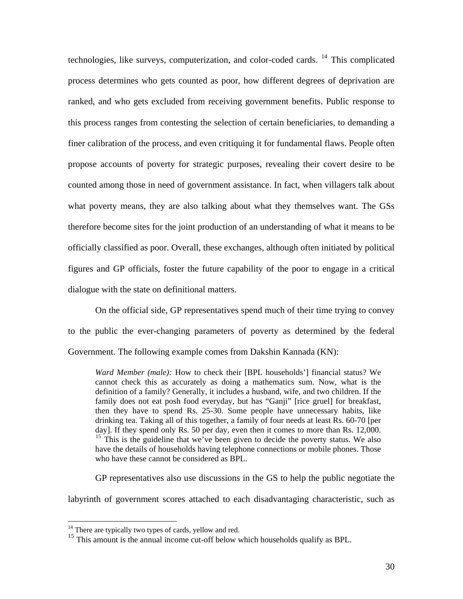technologies, like surveys, computerization, and color-coded cards. [14](#page-31-0) This complicated process determines who gets counted as poor, how different degrees of deprivation are ranked, and who gets excluded from receiving government benefits. Public response to this process ranges from contesting the selection of certain beneficiaries, to demanding a finer calibration of the process, and even critiquing it for fundamental flaws. People often propose accounts of poverty for strategic purposes, revealing their covert desire to be counted among those in need of government assistance. In fact, when villagers talk about what poverty means, they are also talking about what they themselves want. The GSs therefore become sites for the joint production of an understanding of what it means to be officially classified as poor. Overall, these exchanges, although often initiated by political figures and GP officials, foster the future capability of the poor to engage in a critical dialogue with the state on definitional matters.

On the official side, GP representatives spend much of their time trying to convey to the public the ever-changing parameters of poverty as determined by the federal Government. The following example comes from Dakshin Kannada (KN):

*Ward Member (male):* How to check their [BPL households'] financial status? We cannot check this as accurately as doing a mathematics sum. Now, what is the definition of a family? Generally, it includes a husband, wife, and two children. If the family does not eat posh food everyday, but has "Ganji" [rice gruel] for breakfast, then they have to spend Rs. 25-30. Some people have unnecessary habits, like drinking tea. Taking all of this together, a family of four needs at least Rs. 60-70 [per day]. If they spend only Rs. 50 per day, even then it comes to more than Rs. 12,000. <sup>[15](#page-31-1)</sup> This is the guideline that we've been given to decide the poverty status. We also have the details of households having telephone connections or mobile phones. Those who have these cannot be considered as BPL.

GP representatives also use discussions in the GS to help the public negotiate the labyrinth of government scores attached to each disadvantaging characteristic, such as

 $14$  There are typically two types of cards, yellow and red.

<span id="page-31-1"></span><span id="page-31-0"></span><sup>&</sup>lt;sup>15</sup> This amount is the annual income cut-off below which households qualify as BPL.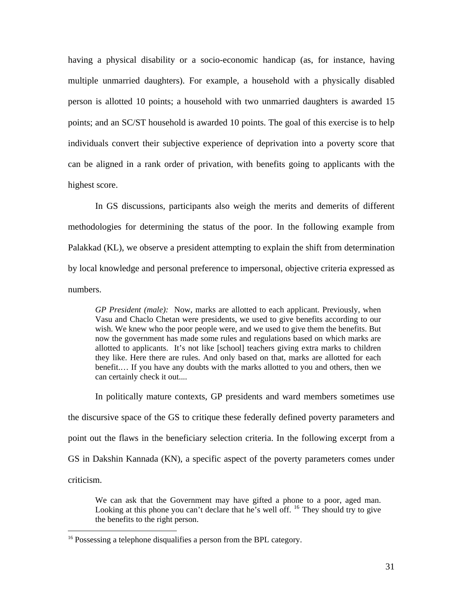having a physical disability or a socio-economic handicap (as, for instance, having multiple unmarried daughters). For example, a household with a physically disabled person is allotted 10 points; a household with two unmarried daughters is awarded 15 points; and an SC/ST household is awarded 10 points. The goal of this exercise is to help individuals convert their subjective experience of deprivation into a poverty score that can be aligned in a rank order of privation, with benefits going to applicants with the highest score.

 In GS discussions, participants also weigh the merits and demerits of different methodologies for determining the status of the poor. In the following example from Palakkad (KL), we observe a president attempting to explain the shift from determination by local knowledge and personal preference to impersonal, objective criteria expressed as numbers.

*GP President (male)*: Now, marks are allotted to each applicant. Previously, when Vasu and Chaclo Chetan were presidents, we used to give benefits according to our wish. We knew who the poor people were, and we used to give them the benefits. But now the government has made some rules and regulations based on which marks are allotted to applicants. It's not like [school] teachers giving extra marks to children they like. Here there are rules. And only based on that, marks are allotted for each benefit.… If you have any doubts with the marks allotted to you and others, then we can certainly check it out....

In politically mature contexts, GP presidents and ward members sometimes use the discursive space of the GS to critique these federally defined poverty parameters and point out the flaws in the beneficiary selection criteria. In the following excerpt from a GS in Dakshin Kannada (KN), a specific aspect of the poverty parameters comes under criticism.

We can ask that the Government may have gifted a phone to a poor, aged man. Looking at this phone you can't declare that he's well off.  $^{16}$  $^{16}$  $^{16}$  They should try to give the benefits to the right person.

<span id="page-32-0"></span><sup>&</sup>lt;sup>16</sup> Possessing a telephone disqualifies a person from the BPL category.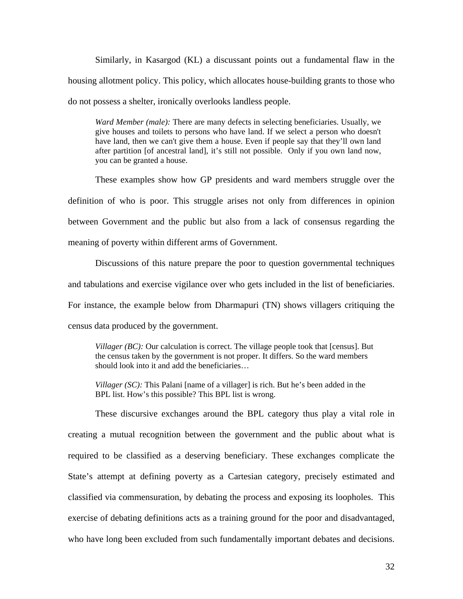Similarly, in Kasargod (KL) a discussant points out a fundamental flaw in the housing allotment policy. This policy, which allocates house-building grants to those who do not possess a shelter, ironically overlooks landless people.

*Ward Member (male):* There are many defects in selecting beneficiaries. Usually, we give houses and toilets to persons who have land. If we select a person who doesn't have land, then we can't give them a house. Even if people say that they'll own land after partition [of ancestral land], it's still not possible. Only if you own land now, you can be granted a house.

These examples show how GP presidents and ward members struggle over the definition of who is poor. This struggle arises not only from differences in opinion between Government and the public but also from a lack of consensus regarding the meaning of poverty within different arms of Government.

Discussions of this nature prepare the poor to question governmental techniques and tabulations and exercise vigilance over who gets included in the list of beneficiaries. For instance, the example below from Dharmapuri (TN) shows villagers critiquing the census data produced by the government.

*Villager (BC):* Our calculation is correct. The village people took that [census]. But the census taken by the government is not proper. It differs. So the ward members should look into it and add the beneficiaries…

*Villager (SC):* This Palani [name of a villager] is rich. But he's been added in the BPL list. How's this possible? This BPL list is wrong.

These discursive exchanges around the BPL category thus play a vital role in creating a mutual recognition between the government and the public about what is required to be classified as a deserving beneficiary. These exchanges complicate the State's attempt at defining poverty as a Cartesian category, precisely estimated and classified via commensuration, by debating the process and exposing its loopholes. This exercise of debating definitions acts as a training ground for the poor and disadvantaged, who have long been excluded from such fundamentally important debates and decisions.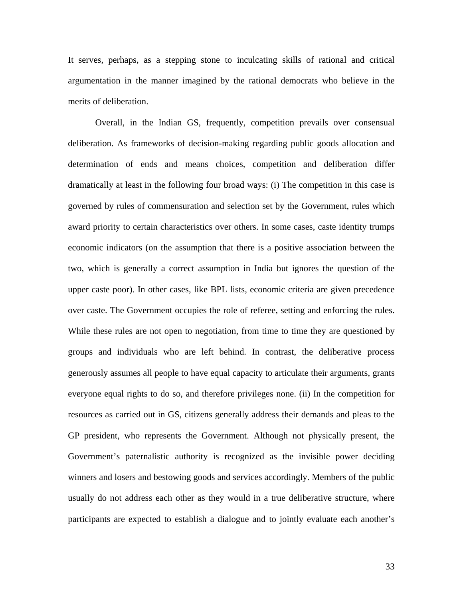It serves, perhaps, as a stepping stone to inculcating skills of rational and critical argumentation in the manner imagined by the rational democrats who believe in the merits of deliberation.

Overall, in the Indian GS, frequently, competition prevails over consensual deliberation. As frameworks of decision-making regarding public goods allocation and determination of ends and means choices, competition and deliberation differ dramatically at least in the following four broad ways: (i) The competition in this case is governed by rules of commensuration and selection set by the Government, rules which award priority to certain characteristics over others. In some cases, caste identity trumps economic indicators (on the assumption that there is a positive association between the two, which is generally a correct assumption in India but ignores the question of the upper caste poor). In other cases, like BPL lists, economic criteria are given precedence over caste. The Government occupies the role of referee, setting and enforcing the rules. While these rules are not open to negotiation, from time to time they are questioned by groups and individuals who are left behind. In contrast, the deliberative process generously assumes all people to have equal capacity to articulate their arguments, grants everyone equal rights to do so, and therefore privileges none. (ii) In the competition for resources as carried out in GS, citizens generally address their demands and pleas to the GP president, who represents the Government. Although not physically present, the Government's paternalistic authority is recognized as the invisible power deciding winners and losers and bestowing goods and services accordingly. Members of the public usually do not address each other as they would in a true deliberative structure, where participants are expected to establish a dialogue and to jointly evaluate each another's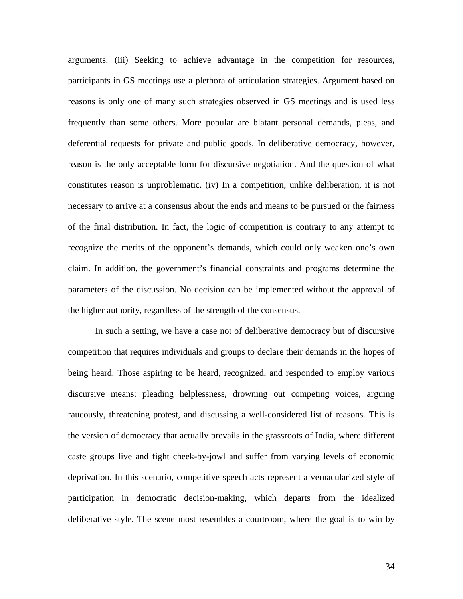arguments. (iii) Seeking to achieve advantage in the competition for resources, participants in GS meetings use a plethora of articulation strategies. Argument based on reasons is only one of many such strategies observed in GS meetings and is used less frequently than some others. More popular are blatant personal demands, pleas, and deferential requests for private and public goods. In deliberative democracy, however, reason is the only acceptable form for discursive negotiation. And the question of what constitutes reason is unproblematic. (iv) In a competition, unlike deliberation, it is not necessary to arrive at a consensus about the ends and means to be pursued or the fairness of the final distribution. In fact, the logic of competition is contrary to any attempt to recognize the merits of the opponent's demands, which could only weaken one's own claim. In addition, the government's financial constraints and programs determine the parameters of the discussion. No decision can be implemented without the approval of the higher authority, regardless of the strength of the consensus.

In such a setting, we have a case not of deliberative democracy but of discursive competition that requires individuals and groups to declare their demands in the hopes of being heard. Those aspiring to be heard, recognized, and responded to employ various discursive means: pleading helplessness, drowning out competing voices, arguing raucously, threatening protest, and discussing a well-considered list of reasons. This is the version of democracy that actually prevails in the grassroots of India, where different caste groups live and fight cheek-by-jowl and suffer from varying levels of economic deprivation. In this scenario, competitive speech acts represent a vernacularized style of participation in democratic decision-making, which departs from the idealized deliberative style. The scene most resembles a courtroom, where the goal is to win by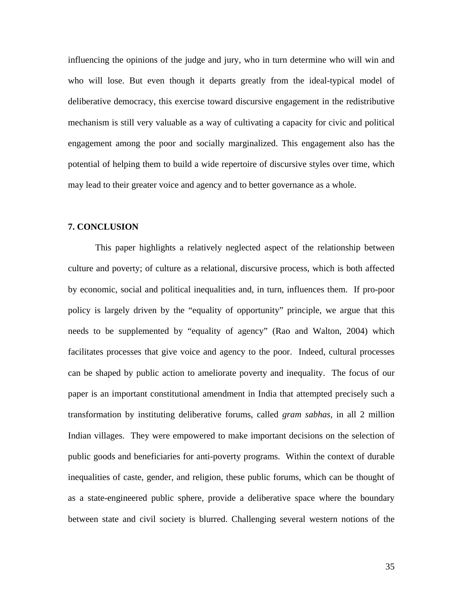influencing the opinions of the judge and jury, who in turn determine who will win and who will lose. But even though it departs greatly from the ideal-typical model of deliberative democracy, this exercise toward discursive engagement in the redistributive mechanism is still very valuable as a way of cultivating a capacity for civic and political engagement among the poor and socially marginalized. This engagement also has the potential of helping them to build a wide repertoire of discursive styles over time, which may lead to their greater voice and agency and to better governance as a whole.

#### **7. CONCLUSION**

This paper highlights a relatively neglected aspect of the relationship between culture and poverty; of culture as a relational, discursive process, which is both affected by economic, social and political inequalities and, in turn, influences them. If pro-poor policy is largely driven by the "equality of opportunity" principle, we argue that this needs to be supplemented by "equality of agency" (Rao and Walton, 2004) which facilitates processes that give voice and agency to the poor. Indeed, cultural processes can be shaped by public action to ameliorate poverty and inequality. The focus of our paper is an important constitutional amendment in India that attempted precisely such a transformation by instituting deliberative forums, called *gram sabhas,* in all 2 million Indian villages. They were empowered to make important decisions on the selection of public goods and beneficiaries for anti-poverty programs. Within the context of durable inequalities of caste, gender, and religion, these public forums, which can be thought of as a state-engineered public sphere, provide a deliberative space where the boundary between state and civil society is blurred. Challenging several western notions of the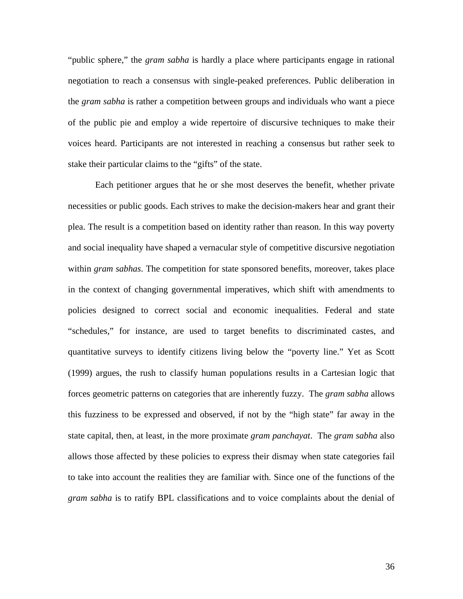"public sphere," the *gram sabha* is hardly a place where participants engage in rational negotiation to reach a consensus with single-peaked preferences. Public deliberation in the *gram sabha* is rather a competition between groups and individuals who want a piece of the public pie and employ a wide repertoire of discursive techniques to make their voices heard. Participants are not interested in reaching a consensus but rather seek to stake their particular claims to the "gifts" of the state.

Each petitioner argues that he or she most deserves the benefit, whether private necessities or public goods. Each strives to make the decision-makers hear and grant their plea. The result is a competition based on identity rather than reason. In this way poverty and social inequality have shaped a vernacular style of competitive discursive negotiation within *gram sabhas*. The competition for state sponsored benefits, moreover, takes place in the context of changing governmental imperatives, which shift with amendments to policies designed to correct social and economic inequalities. Federal and state "schedules," for instance, are used to target benefits to discriminated castes, and quantitative surveys to identify citizens living below the "poverty line." Yet as Scott (1999) argues, the rush to classify human populations results in a Cartesian logic that forces geometric patterns on categories that are inherently fuzzy. The *gram sabha* allows this fuzziness to be expressed and observed, if not by the "high state" far away in the state capital, then, at least, in the more proximate *gram panchayat*. The *gram sabha* also allows those affected by these policies to express their dismay when state categories fail to take into account the realities they are familiar with. Since one of the functions of the *gram sabha* is to ratify BPL classifications and to voice complaints about the denial of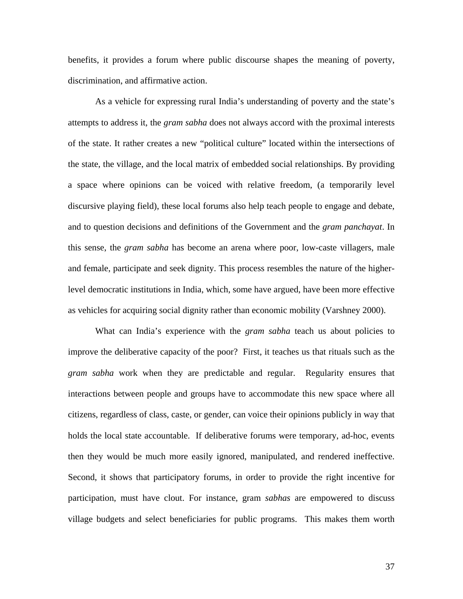benefits, it provides a forum where public discourse shapes the meaning of poverty, discrimination, and affirmative action.

As a vehicle for expressing rural India's understanding of poverty and the state's attempts to address it, the *gram sabha* does not always accord with the proximal interests of the state. It rather creates a new "political culture" located within the intersections of the state, the village, and the local matrix of embedded social relationships. By providing a space where opinions can be voiced with relative freedom, (a temporarily level discursive playing field), these local forums also help teach people to engage and debate, and to question decisions and definitions of the Government and the *gram panchayat*. In this sense, the *gram sabha* has become an arena where poor, low-caste villagers, male and female, participate and seek dignity. This process resembles the nature of the higherlevel democratic institutions in India, which, some have argued, have been more effective as vehicles for acquiring social dignity rather than economic mobility (Varshney 2000).

What can India's experience with the *gram sabha* teach us about policies to improve the deliberative capacity of the poor? First, it teaches us that rituals such as the *gram sabha* work when they are predictable and regular. Regularity ensures that interactions between people and groups have to accommodate this new space where all citizens, regardless of class, caste, or gender, can voice their opinions publicly in way that holds the local state accountable. If deliberative forums were temporary, ad-hoc, events then they would be much more easily ignored, manipulated, and rendered ineffective. Second, it shows that participatory forums, in order to provide the right incentive for participation, must have clout. For instance, gram *sabhas* are empowered to discuss village budgets and select beneficiaries for public programs. This makes them worth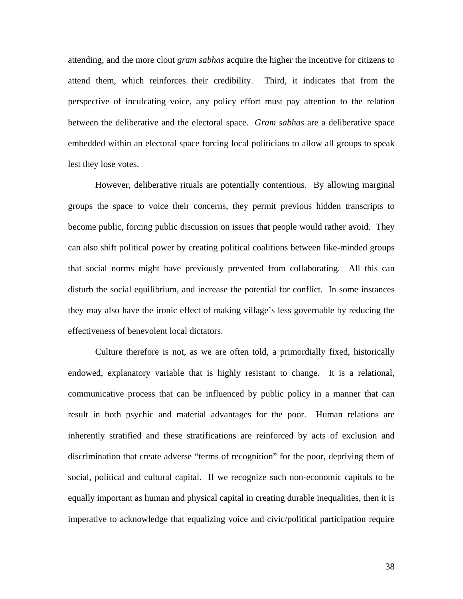attending, and the more clout *gram sabhas* acquire the higher the incentive for citizens to attend them, which reinforces their credibility. Third, it indicates that from the perspective of inculcating voice, any policy effort must pay attention to the relation between the deliberative and the electoral space. *Gram sabhas* are a deliberative space embedded within an electoral space forcing local politicians to allow all groups to speak lest they lose votes.

However, deliberative rituals are potentially contentious. By allowing marginal groups the space to voice their concerns, they permit previous hidden transcripts to become public, forcing public discussion on issues that people would rather avoid. They can also shift political power by creating political coalitions between like-minded groups that social norms might have previously prevented from collaborating. All this can disturb the social equilibrium, and increase the potential for conflict. In some instances they may also have the ironic effect of making village's less governable by reducing the effectiveness of benevolent local dictators.

Culture therefore is not, as we are often told, a primordially fixed, historically endowed, explanatory variable that is highly resistant to change. It is a relational, communicative process that can be influenced by public policy in a manner that can result in both psychic and material advantages for the poor. Human relations are inherently stratified and these stratifications are reinforced by acts of exclusion and discrimination that create adverse "terms of recognition" for the poor, depriving them of social, political and cultural capital. If we recognize such non-economic capitals to be equally important as human and physical capital in creating durable inequalities, then it is imperative to acknowledge that equalizing voice and civic/political participation require

38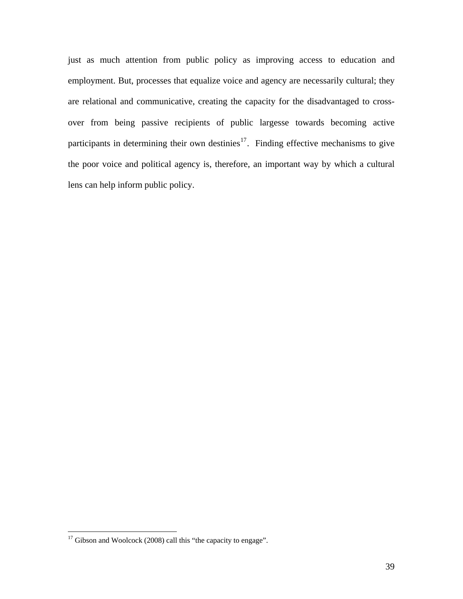just as much attention from public policy as improving access to education and employment. But, processes that equalize voice and agency are necessarily cultural; they are relational and communicative, creating the capacity for the disadvantaged to crossover from being passive recipients of public largesse towards becoming active participants in determining their own destinies<sup>[17](#page-40-0)</sup>. Finding effective mechanisms to give the poor voice and political agency is, therefore, an important way by which a cultural lens can help inform public policy.

<span id="page-40-0"></span> $17$  Gibson and Woolcock (2008) call this "the capacity to engage".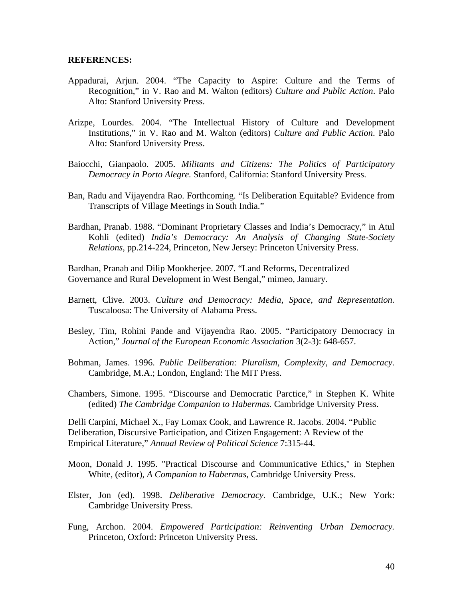#### **REFERENCES:**

- Appadurai, Arjun. 2004. "The Capacity to Aspire: Culture and the Terms of Recognition," in V. Rao and M. Walton (editors) *Culture and Public Action*. Palo Alto: Stanford University Press.
- Arizpe, Lourdes. 2004. "The Intellectual History of Culture and Development Institutions," in V. Rao and M. Walton (editors) *Culture and Public Action*. Palo Alto: Stanford University Press.
- Baiocchi, Gianpaolo. 2005. *Militants and Citizens: The Politics of Participatory Democracy in Porto Alegre.* Stanford, California: Stanford University Press.
- Ban, Radu and Vijayendra Rao. Forthcoming. "Is Deliberation Equitable? Evidence from Transcripts of Village Meetings in South India."
- Bardhan, Pranab. 1988. "Dominant Proprietary Classes and India's Democracy," in Atul Kohli (edited) *India's Democracy: An Analysis of Changing State-Society Relations,* pp.214-224, Princeton, New Jersey: Princeton University Press.

Bardhan, Pranab and Dilip Mookherjee. 2007. "Land Reforms, Decentralized Governance and Rural Development in West Bengal," mimeo, January.

- Barnett, Clive. 2003. *Culture and Democracy: Media, Space, and Representation.* Tuscaloosa: The University of Alabama Press.
- Besley, Tim, Rohini Pande and Vijayendra Rao. 2005. "Participatory Democracy in Action," *Journal of the European Economic Association* 3(2-3): 648-657.
- Bohman, James. 1996. *Public Deliberation: Pluralism, Complexity, and Democracy.*  Cambridge, M.A.; London, England: The MIT Press.
- Chambers, Simone. 1995. "Discourse and Democratic Parctice," in Stephen K. White (edited) *The Cambridge Companion to Habermas.* Cambridge University Press.

Delli Carpini, Michael X., Fay Lomax Cook, and Lawrence R. Jacobs. 2004. "Public Deliberation, Discursive Participation, and Citizen Engagement: A Review of the Empirical Literature," *Annual Review of Political Science* 7:315-44.

- Moon, Donald J. 1995. "Practical Discourse and Communicative Ethics," in Stephen White, (editor), *A Companion to Habermas,* Cambridge University Press.
- Elster, Jon (ed). 1998. *Deliberative Democracy.* Cambridge, U.K.; New York: Cambridge University Press*.*
- Fung, Archon. 2004. *Empowered Participation: Reinventing Urban Democracy.*  Princeton, Oxford: Princeton University Press.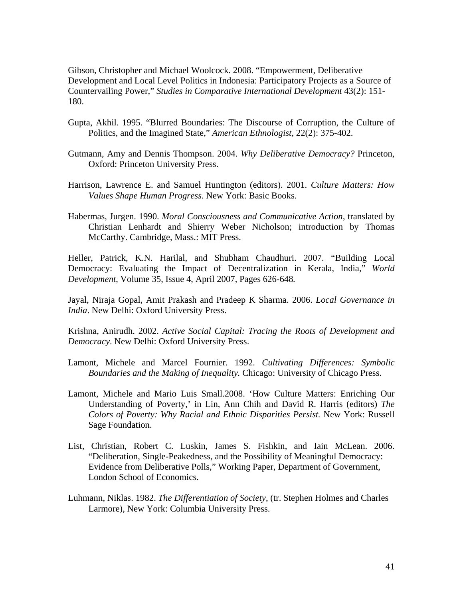Gibson, Christopher and Michael Woolcock. 2008. "Empowerment, Deliberative Development and Local Level Politics in Indonesia: Participatory Projects as a Source of Countervailing Power," *Studies in Comparative International Development* 43(2): 151- 180.

- Gupta, Akhil. 1995. "Blurred Boundaries: The Discourse of Corruption, the Culture of Politics, and the Imagined State," *American Ethnologist*, 22(2): 375-402.
- Gutmann, Amy and Dennis Thompson. 2004. *Why Deliberative Democracy?* Princeton, Oxford: Princeton University Press.
- Harrison, Lawrence E. and Samuel Huntington (editors). 2001. *Culture Matters: How Values Shape Human Progress*. New York: Basic Books.
- Habermas, Jurgen. 1990. *Moral Consciousness and Communicative Action,* translated by Christian Lenhardt and Shierry Weber Nicholson; introduction by Thomas McCarthy. Cambridge, Mass.: MIT Press.

Heller, Patrick, K.N. Harilal, and Shubham Chaudhuri. 2007. "Building Local Democracy: Evaluating the Impact of Decentralization in Kerala, India," *World Development*, Volume 35, Issue 4, April 2007, Pages 626-648*.* 

Jayal, Niraja Gopal, Amit Prakash and Pradeep K Sharma. 2006. *Local Governance in India*. New Delhi: Oxford University Press.

Krishna, Anirudh. 2002. *Active Social Capital: Tracing the Roots of Development and Democracy*. New Delhi: Oxford University Press.

- Lamont, Michele and Marcel Fournier. 1992. *Cultivating Differences: Symbolic Boundaries and the Making of Inequality.* Chicago: University of Chicago Press.
- Lamont, Michele and Mario Luis Small.2008. 'How Culture Matters: Enriching Our Understanding of Poverty,' in Lin, Ann Chih and David R. Harris (editors) *The Colors of Poverty: Why Racial and Ethnic Disparities Persist.* New York: Russell Sage Foundation.
- List, Christian, Robert C. Luskin, James S. Fishkin, and Iain McLean. 2006. "Deliberation, Single-Peakedness, and the Possibility of Meaningful Democracy: Evidence from Deliberative Polls," Working Paper, Department of Government, London School of Economics.
- Luhmann, Niklas. 1982. *The Differentiation of Society*, (tr. Stephen Holmes and Charles Larmore), New York: Columbia University Press.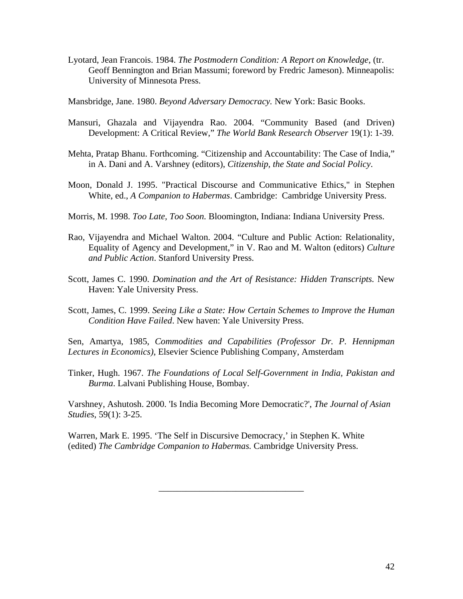Lyotard, Jean Francois. 1984. *The Postmodern Condition: A Report on Knowledge*, (tr. Geoff Bennington and Brian Massumi; foreword by Fredric Jameson). Minneapolis: University of Minnesota Press.

Mansbridge, Jane. 1980. *Beyond Adversary Democracy.* New York: Basic Books.

- Mansuri, Ghazala and Vijayendra Rao. 2004. "Community Based (and Driven) Development: A Critical Review," *The World Bank Research Observer* 19(1): 1-39.
- Mehta, Pratap Bhanu. Forthcoming. "Citizenship and Accountability: The Case of India," in A. Dani and A. Varshney (editors), *Citizenship, the State and Social Policy*.
- Moon, Donald J. 1995. "Practical Discourse and Communicative Ethics," in Stephen White, ed., *A Companion to Habermas*. Cambridge: Cambridge University Press.
- Morris, M. 1998. *Too Late, Too Soon.* Bloomington, Indiana: Indiana University Press.
- Rao, Vijayendra and Michael Walton. 2004. "Culture and Public Action: Relationality, Equality of Agency and Development," in V. Rao and M. Walton (editors) *Culture and Public Action*. Stanford University Press.
- Scott, James C. 1990. *Domination and the Art of Resistance: Hidden Transcripts.* New Haven: Yale University Press.
- Scott, James, C. 1999. *Seeing Like a State: How Certain Schemes to Improve the Human Condition Have Failed*. New haven: Yale University Press.

Sen, Amartya, 1985, *Commodities and Capabilities (Professor Dr. P. Hennipman Lectures in Economics)*, Elsevier Science Publishing Company, Amsterdam

Tinker, Hugh. 1967. *The Foundations of Local Self-Government in India, Pakistan and Burma*. Lalvani Publishing House, Bombay.

Varshney, Ashutosh. 2000. 'Is India Becoming More Democratic?', *The Journal of Asian Studies*, 59(1): 3-25.

\_\_\_\_\_\_\_\_\_\_\_\_\_\_\_\_\_\_\_\_\_\_\_\_\_\_\_\_\_\_\_\_

Warren, Mark E. 1995. 'The Self in Discursive Democracy,' in Stephen K. White (edited) *The Cambridge Companion to Habermas.* Cambridge University Press.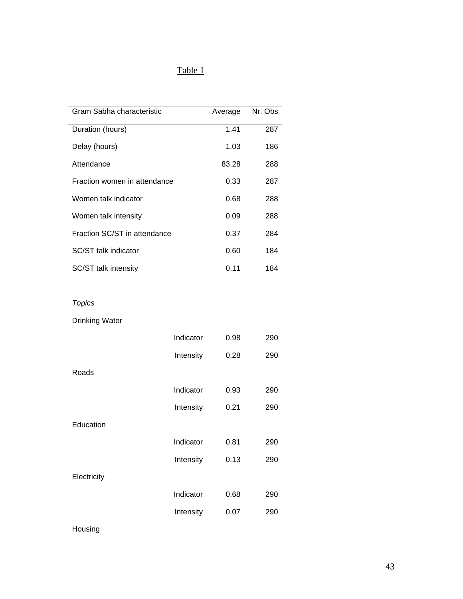|  | Table 1 |
|--|---------|
|--|---------|

| Gram Sabha characteristic    | Average | Nr. Obs |
|------------------------------|---------|---------|
| Duration (hours)             | 1.41    | 287     |
| Delay (hours)                | 1.03    | 186     |
| Attendance                   | 83.28   | 288     |
| Fraction women in attendance | 0.33    | 287     |
| Women talk indicator         | 0.68    | 288     |
| Women talk intensity         | 0.09    | 288     |
| Fraction SC/ST in attendance | 0.37    | 284     |
| SC/ST talk indicator         | 0.60    | 184     |
| SC/ST talk intensity         | 0.11    | 184     |

#### *Topics*

### Drinking Water

|             | Indicator | 0.98 | 290 |
|-------------|-----------|------|-----|
|             | Intensity | 0.28 | 290 |
| Roads       |           |      |     |
|             | Indicator | 0.93 | 290 |
|             | Intensity | 0.21 | 290 |
| Education   |           |      |     |
|             | Indicator | 0.81 | 290 |
|             | Intensity | 0.13 | 290 |
| Electricity |           |      |     |
|             | Indicator | 0.68 | 290 |
|             | Intensity | 0.07 | 290 |

Housing